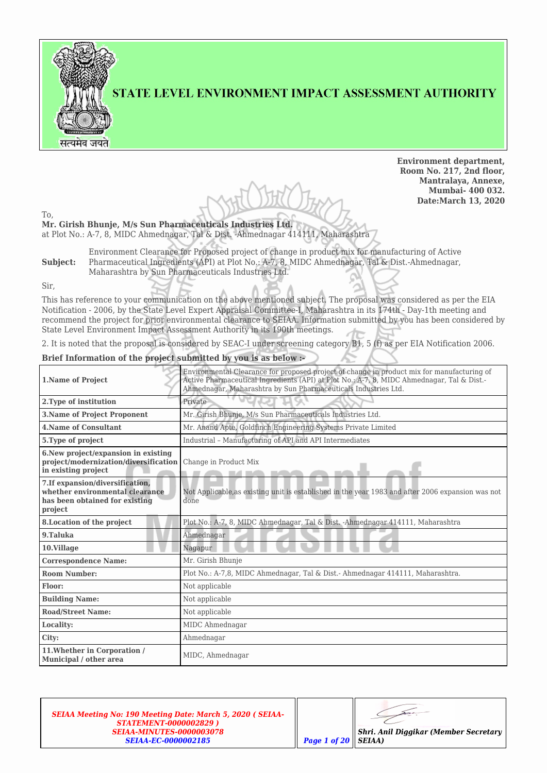

STATE LEVEL ENVIRONMENT IMPACT ASSESSMENT AUTHORITY

**Environment department, Room No. 217, 2nd floor, Mantralaya, Annexe, Mumbai- 400 032. Date:March 13, 2020**

To,

**Mr. Girish Bhunje, M/s Sun Pharmaceuticals Industries Ltd.** at Plot No.: A-7, 8, MIDC Ahmednagar, Tal & Dist. -Ahmednagar 414111, Maharashtra

**Subject:** Environment Clearance for Proposed project of change in product mix for manufacturing of Active Pharmaceutical Ingredients (API) at Plot No.: A-7, 8, MIDC Ahmednagar, Tal & Dist.-Ahmednagar, Maharashtra by Sun Pharmaceuticals Industries Ltd.

Sir,

This has reference to your communication on the above mentioned subject. The proposal was considered as per the EIA Notification - 2006, by the State Level Expert Appraisal Committee-I, Maharashtra in its 174th - Day-1th meeting and recommend the project for prior environmental clearance to SEIAA. Information submitted by you has been considered by State Level Environment Impact Assessment Authority in its 190th meetings.

2. It is noted that the proposal is considered by SEAC-I under screening category B1, 5 (f) as per EIA Notification 2006.

### **Brief Information of the project submitted by you is as below :-**

| 1. Name of Project                                                                                               | Environmental Clearance for proposed project of change in product mix for manufacturing of<br>Active Pharmaceutical Ingredients (API) at Plot No.: A-7, 8, MIDC Ahmednagar, Tal & Dist.-<br>Ahmednagar, Maharashtra by Sun Pharmaceuticals Industries Ltd. |  |  |  |
|------------------------------------------------------------------------------------------------------------------|------------------------------------------------------------------------------------------------------------------------------------------------------------------------------------------------------------------------------------------------------------|--|--|--|
| 2. Type of institution                                                                                           | Private                                                                                                                                                                                                                                                    |  |  |  |
| <b>3.Name of Project Proponent</b>                                                                               | Mr. Girish Bhunje, M/s Sun Pharmaceuticals Industries Ltd.                                                                                                                                                                                                 |  |  |  |
| <b>4. Name of Consultant</b>                                                                                     | Mr. Anand Apte, Goldfinch Engineering Systems Private Limited                                                                                                                                                                                              |  |  |  |
| 5. Type of project                                                                                               | Industrial - Manufacturing of API and API Intermediates                                                                                                                                                                                                    |  |  |  |
| 6. New project/expansion in existing<br>project/modernization/diversification<br>in existing project             | Change in Product Mix                                                                                                                                                                                                                                      |  |  |  |
| 7. If expansion/diversification,<br>whether environmental clearance<br>has been obtained for existing<br>project | Not Applicable, as existing unit is established in the year 1983 and after 2006 expansion was not<br>done                                                                                                                                                  |  |  |  |
| 8. Location of the project                                                                                       | Plot No.: A-7, 8, MIDC Ahmednagar, Tal & Dist. -Ahmednagar 414111, Maharashtra                                                                                                                                                                             |  |  |  |
| 9.Taluka                                                                                                         | Ahmednagar                                                                                                                                                                                                                                                 |  |  |  |
| 10.Village                                                                                                       | Nagapur                                                                                                                                                                                                                                                    |  |  |  |
| <b>Correspondence Name:</b>                                                                                      | Mr. Girish Bhunje                                                                                                                                                                                                                                          |  |  |  |
| <b>Room Number:</b>                                                                                              | Plot No.: A-7,8, MIDC Ahmednagar, Tal & Dist.- Ahmednagar 414111, Maharashtra.                                                                                                                                                                             |  |  |  |
| Floor:                                                                                                           | Not applicable                                                                                                                                                                                                                                             |  |  |  |
| <b>Building Name:</b>                                                                                            | Not applicable                                                                                                                                                                                                                                             |  |  |  |
| <b>Road/Street Name:</b>                                                                                         | Not applicable                                                                                                                                                                                                                                             |  |  |  |
| Locality:                                                                                                        | MIDC Ahmednagar                                                                                                                                                                                                                                            |  |  |  |
| City:                                                                                                            | Ahmednagar                                                                                                                                                                                                                                                 |  |  |  |
| 11. Whether in Corporation /<br>Municipal / other area                                                           | MIDC, Ahmednagar                                                                                                                                                                                                                                           |  |  |  |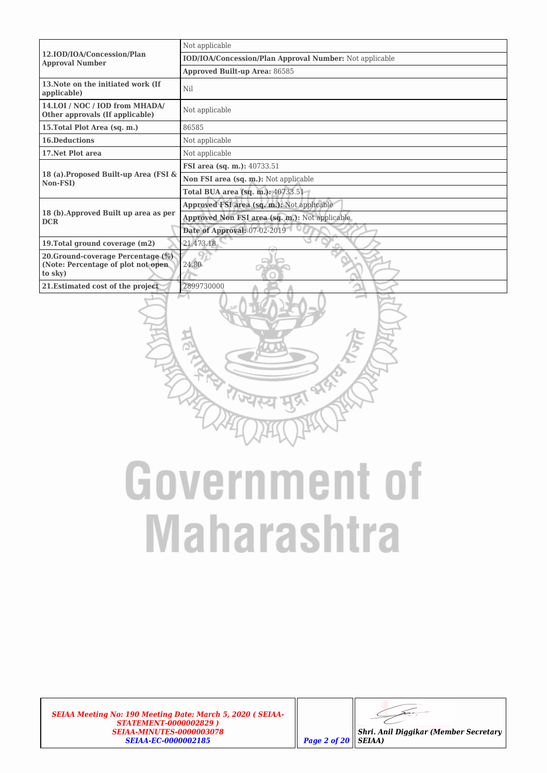|                                                                                     | Not applicable                                          |  |  |  |  |
|-------------------------------------------------------------------------------------|---------------------------------------------------------|--|--|--|--|
| 12.IOD/IOA/Concession/Plan<br><b>Approval Number</b>                                | IOD/IOA/Concession/Plan Approval Number: Not applicable |  |  |  |  |
|                                                                                     | Approved Built-up Area: 86585                           |  |  |  |  |
| 13. Note on the initiated work (If<br>applicable)                                   | Nil                                                     |  |  |  |  |
| 14.LOI / NOC / IOD from MHADA/<br>Other approvals (If applicable)                   | Not applicable                                          |  |  |  |  |
| 15. Total Plot Area (sq. m.)                                                        | 86585                                                   |  |  |  |  |
| <b>16.Deductions</b>                                                                | Not applicable                                          |  |  |  |  |
| 17. Net Plot area                                                                   | Not applicable                                          |  |  |  |  |
|                                                                                     | <b>FSI</b> area (sq. m.): 40733.51                      |  |  |  |  |
| 18 (a). Proposed Built-up Area (FSI &<br>Non-FSI)                                   | Non FSI area (sq. m.): Not applicable                   |  |  |  |  |
|                                                                                     | <b>Total BUA area (sq. m.): 40733.51</b>                |  |  |  |  |
|                                                                                     | Approved FSI area (sq. m.): Not applicable              |  |  |  |  |
| 18 (b). Approved Built up area as per<br><b>DCR</b>                                 | Approved Non FSI area (sq. m.): Not applicable          |  |  |  |  |
|                                                                                     | Date of Approval: 07-02-2019                            |  |  |  |  |
| 19. Total ground coverage (m2)                                                      | 21,473.18                                               |  |  |  |  |
| 20. Ground-coverage Percentage (%)<br>(Note: Percentage of plot not open<br>to sky) | 24.80                                                   |  |  |  |  |
| 21. Estimated cost of the project                                                   | 2899730000                                              |  |  |  |  |
|                                                                                     |                                                         |  |  |  |  |

# **Government of Maharashtra**

*SEIAA Meeting No: 190 Meeting Date: March 5, 2020 ( SEIAA-STATEMENT-0000002829 ) SEIAA-MINUTES-0000003078 SEIAA-EC-0000002185 Page 2 of 20*

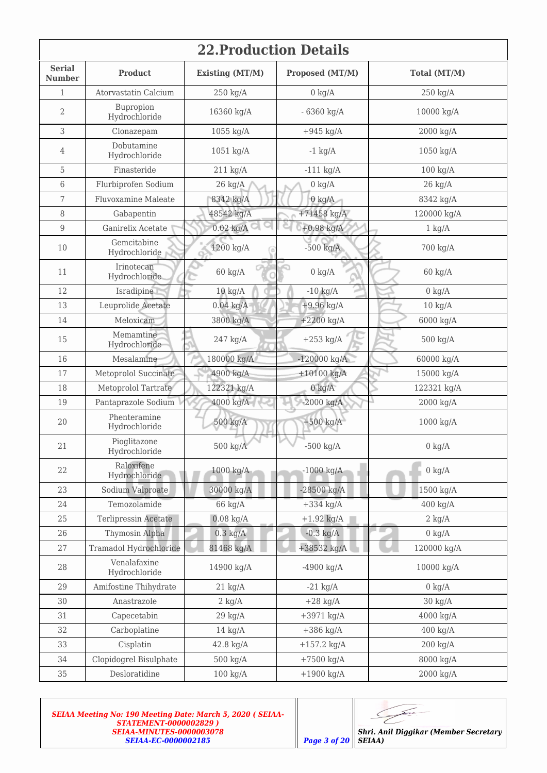| <b>22. Production Details</b>  |                               |                     |                        |                     |  |  |  |  |
|--------------------------------|-------------------------------|---------------------|------------------------|---------------------|--|--|--|--|
| <b>Serial</b><br><b>Number</b> | <b>Product</b>                | Existing (MT/M)     | Proposed (MT/M)        | Total (MT/M)        |  |  |  |  |
| $\mathbf{1}$                   | Atorvastatin Calcium          | $250$ kg/A          | $0 \text{ kg/A}$       | $250$ kg/A          |  |  |  |  |
| $\overline{2}$                 | Bupropion<br>Hydrochloride    | 16360 kg/A          | $-6360$ kg/A           | 10000 kg/A          |  |  |  |  |
| 3                              | Clonazepam                    | 1055 kg/A           | $+945$ kg/A            | 2000 kg/A           |  |  |  |  |
| $\overline{4}$                 | Dobutamine<br>Hydrochloride   | 1051 kg/A           | $-1$ kg/A              | $1050$ kg/A         |  |  |  |  |
| 5                              | Finasteride                   | $211 \text{ kg/A}$  | $-111$ kg/A            | $100 \text{ kg/A}$  |  |  |  |  |
| 6                              | Flurbiprofen Sodium           | $26 \text{ kg/A}$   | $0 \text{ kg/A}$       | $26 \text{ kg/A}$   |  |  |  |  |
| $\overline{7}$                 | Fluvoxamine Maleate           | 8342 kg/A           | $0 \text{ kg/A}$       | 8342 kg/A           |  |  |  |  |
| 8                              | Gabapentin                    | 48542 kg/A          | $+71458$ kg/A          | 120000 kg/A         |  |  |  |  |
| $\overline{9}$                 | Ganirelix Acetate             | $0.02$ kg/A         | $+0.98$ kg/A           | $1 \text{ kg/A}$    |  |  |  |  |
| 10                             | Gemcitabine<br>Hydrochloride  | 1200 kg/A           | $-500$ kg/A            | 700 kg/A            |  |  |  |  |
| 11                             | Irinotecan<br>Hydrochloride   | $60 \text{ kg/A}$   | $0 \text{ kg/A}$       | $60 \text{ kg/A}$   |  |  |  |  |
| 12                             | Isradipine                    | $10 \text{ kg/A}$   | $-10$ kg/A             | $0 \text{ kg/A}$    |  |  |  |  |
| 13                             | Leuprolide Acetate            | $0.04$ kg/A         | $+9.96$ kg/A           | $10 \text{ kg/A}$   |  |  |  |  |
| 14                             | Meloxicam                     | 3800 kg/A           | $+2200$ kg/A           | 6000 kg/A           |  |  |  |  |
| 15                             | Memamtine<br>Hydrochloride    | $247$ kg/A          | $+253$ kg/A            | 500 kg/A            |  |  |  |  |
| 16                             | Mesalamine                    | 180000 kg/A         | $-120000 \text{ kg/A}$ | 60000 kg/A          |  |  |  |  |
| 17                             | Metoprolol Succinate          | 4900 kg/A           | $+10100$ kg/A          | 15000 kg/A          |  |  |  |  |
| 18                             | Metoprolol Tartrate           | 122321 kg/A         | $0 \text{ kg/A}$       | 122321 kg/A         |  |  |  |  |
| 19                             | Pantaprazole Sodium           | 4000 kg/A           | $-2000$ kg/A           | 2000 kg/A           |  |  |  |  |
| 20                             | Phenteramine<br>Hydrochloride | 500 kg/A            | $+500$ kg/A            | $1000 \text{ kg/A}$ |  |  |  |  |
| 21                             | Pioglitazone<br>Hydrochloride | 500 kg/A            | $-500$ kg/A            | $0 \text{ kg/A}$    |  |  |  |  |
| 22                             | Raloxifene<br>Hydrochloride   | 1000 kg/A           | $-1000$ kg/A           | $0 \text{ kg/A}$    |  |  |  |  |
| 23                             | Sodium Valproate              | 30000 kg/A          | $-28500$ kg/A          | 1500 kg/A           |  |  |  |  |
| 24                             | Temozolamide                  | 66 kg/A             | $+334$ kg/A            | $400 \text{ kg/A}$  |  |  |  |  |
| 25                             | Terlipressin Acetate          | $0.08$ kg/A         | $+1.92$ kg/A           | $2 \text{ kg/A}$    |  |  |  |  |
| 26                             | Thymosin Alpha                | $0.3$ kg/A          | $-0.3$ kg/A            | $0 \text{ kg/A}$    |  |  |  |  |
| 27                             | Tramadol Hydrochloride        | 81468 kg/A          | +38532 kg/A            | 120000 kg/A         |  |  |  |  |
| 28                             | Venalafaxine<br>Hydrochloride | 14900 kg/A          | $-4900$ kg/A           | 10000 kg/A          |  |  |  |  |
| 29                             | Amifostine Thihydrate         | $21 \text{ kg/A}$   | $-21$ kg/A             | $0 \text{ kg/A}$    |  |  |  |  |
| 30                             | Anastrazole                   | $2 \text{ kg/A}$    | $+28$ kg/A             | $30 \text{ kg/A}$   |  |  |  |  |
| 31                             | Capecetabin                   | $29 \text{ kg/A}$   | $+3971$ kg/A           | 4000 kg/A           |  |  |  |  |
| 32                             | Carboplatine                  | $14 \text{ kg/A}$   | $+386$ kg/A            | $400$ kg/A          |  |  |  |  |
| 33                             | Cisplatin                     | $42.8 \text{ kg/A}$ | $+157.2$ kg/A          | $200 \text{ kg/A}$  |  |  |  |  |
| 34                             | Clopidogrel Bisulphate        | $500 \text{ kg/A}$  | $+7500$ kg/A           | 8000 kg/A           |  |  |  |  |
| 35                             | Desloratidine                 | $100 \text{ kg/A}$  | $+1900$ kg/A           | 2000 kg/A           |  |  |  |  |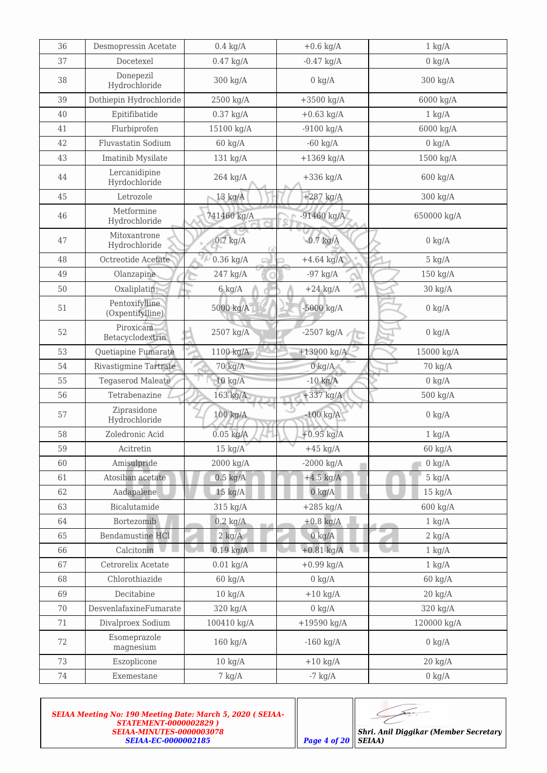| 36 | Desmopressin Acetate               | $0.4 \text{ kg/A}$  | $+0.6$ kg/A      | $1 \text{ kg/A}$  |  |
|----|------------------------------------|---------------------|------------------|-------------------|--|
| 37 | Docetexel                          | $0.47$ kg/A         | $-0.47$ kg/A     | $0 \text{ kg/A}$  |  |
| 38 | Donepezil<br>Hydrochloride         | 300 kg/A            | $0 \text{ kg/A}$ | 300 kg/A          |  |
| 39 | Dothiepin Hydrochloride            | 2500 kg/A           | $+3500$ kg/A     | 6000 kg/A         |  |
| 40 | Epitifibatide                      | $0.37$ kg/A         | $+0.63$ kg/A     | $1 \text{ kg/A}$  |  |
| 41 | Flurbiprofen                       | 15100 kg/A          | $-9100$ kg/A     | 6000 kg/A         |  |
| 42 | Fluvastatin Sodium                 | $60 \text{ kg/A}$   | $-60$ kg/A       | $0 \text{ kg/A}$  |  |
| 43 | Imatinib Mysilate                  | 131 kg/A            | $+1369$ kg/A     | 1500 kg/A         |  |
| 44 | Lercanidipine<br>Hyrdochloride     | $264$ kg/A          | $+336$ kg/A      | 600 kg/A          |  |
| 45 | Letrozole                          | $13 \text{ kg/A}$   | $+287$ kg/A      | 300 kg/A          |  |
| 46 | Metformine<br>Hydrochloride        | 741460 kg/A         | $-91460$ kg/A    | 650000 kg/A       |  |
| 47 | Mitoxantrone<br>Hydrochloride      | $0.7 \text{ kg/A}$  | $-0.7$ kg/A      | $0 \text{ kg/A}$  |  |
| 48 | Octreotide Acetate                 | $0.36$ kg/A         | $+4.64$ kg/A     | $5 \text{ kg/A}$  |  |
| 49 | Olanzapine                         | 247 kg/A            | $-97$ kg/A       | 150 kg/A          |  |
| 50 | Oxaliplatin                        | $6 \text{ kg/A}$    | $+24$ kg/A       | $30 \text{ kg/A}$ |  |
| 51 | Pentoxifylline<br>(Oxpentifylline) | 5000 kg/A           | $-5000$ kg/A     | $0 \text{ kg/A}$  |  |
| 52 | Piroxicam<br>Betacyclodextrin      | 2507 kg/A           | $-2507$ kg/A     | $0 \text{ kg/A}$  |  |
| 53 | Quetiapine Fumarate                | $1100$ kg/A         | $+13900$ kg/A    | 15000 kg/A        |  |
| 54 | <b>Rivastigmine Tartrate</b>       | 70 kg/A             | $0 \text{ kg/A}$ | 70 kg/A           |  |
| 55 | <b>Tegaserod Maleate</b>           | $10 \text{ kg/A}$   | $-10$ kg/A       | $0 \text{ kg/A}$  |  |
| 56 | Tetrabenazine                      | $163$ kg/A          | $+337$ kg/A      | 500 kg/A          |  |
| 57 | Ziprasidone<br>Hydrochloride       | $100$ kg/A          | $-100$ kg/A      | $0 \text{ kg/A}$  |  |
| 58 | Zoledronic Acid                    | $0.05$ kg/A         | $+0.95$ kg/A     | $1 \text{ kg/A}$  |  |
| 59 | Acitretin                          | $15$ kg/A           | $+45$ kg/A       | $60 \text{ kg/A}$ |  |
| 60 | Amisulpride                        | $2000 \text{ kg/A}$ | $-2000$ kg/A     | $0 \text{ kg/A}$  |  |
| 61 | Atosiban acetate                   | $0.5 \text{ kg/A}$  | $+4.5$ kg/A      | $5 \text{ kg/A}$  |  |
| 62 | Aadapalene                         | $15 \text{ kg/A}$   | $0 \text{ kg/A}$ | $15 \text{ kg/A}$ |  |
| 63 | Bicalutamide                       | 315 kg/A            | $+285$ kg/A      | 600 kg/A          |  |
| 64 | Bortezomib                         | $0.2 \text{ kg/A}$  | $+0.8$ kg/A      | $1 \text{ kg/A}$  |  |
| 65 | <b>Bendamustine HCl</b>            | $2$ kg/A            | $0 \text{ kg/A}$ | $2 \text{ kg/A}$  |  |
| 66 | Calcitonin                         | $0.19$ kg/A         | $+0.81$ kg/A     | $1 \text{ kg/A}$  |  |
| 67 | Cetrorelix Acetate                 | $0.01$ kg/A         | $+0.99$ kg/A     | $1 \text{ kg/A}$  |  |
| 68 | Chlorothiazide                     | $60 \text{ kg/A}$   | $0 \text{ kg/A}$ | $60 \text{ kg/A}$ |  |
| 69 | Decitabine                         | $10 \text{ kg/A}$   | $+10$ kg/A       | $20 \text{ kg/A}$ |  |
| 70 | DesvenlafaxineFumarate             | 320 kg/A            | $0 \text{ kg/A}$ | 320 kg/A          |  |
| 71 | Divalproex Sodium                  | 100410 kg/A         | $+19590$ kg/A    | 120000 kg/A       |  |
| 72 | Esomeprazole<br>magnesium          | $160$ kg/A          | $-160$ kg/A      | $0 \text{ kg/A}$  |  |
| 73 | Eszoplicone                        | $10 \text{ kg/A}$   | $+10$ kg/A       | $20 \text{ kg/A}$ |  |
| 74 | Exemestane                         | $7 \text{ kg/A}$    | $-7$ kg/A        | $0 \text{ kg/A}$  |  |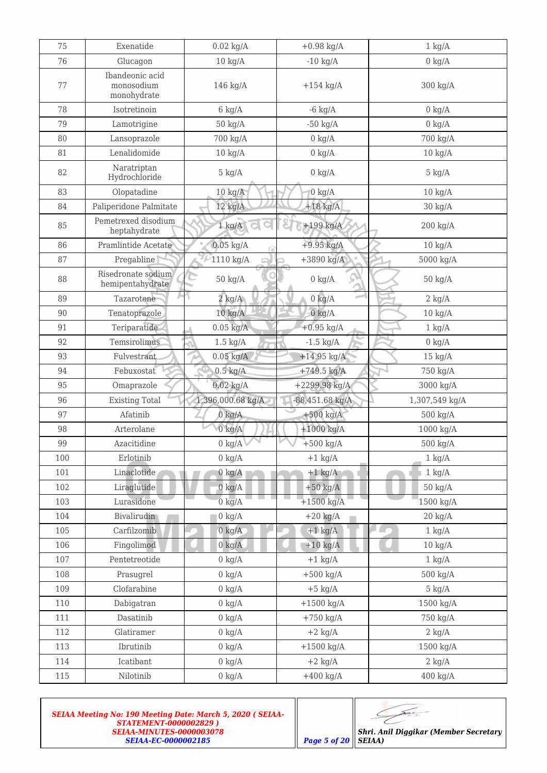| 75  | Exenatide                                    | $0.02$ kg/A        | $+0.98 \text{ kg/A}$  | $1 \text{ kg/A}$      |  |
|-----|----------------------------------------------|--------------------|-----------------------|-----------------------|--|
| 76  | Glucagon                                     | $10 \text{ kg/A}$  | $-10$ kg/A            | $0 \text{ kg/A}$      |  |
| 77  | Ibandeonic acid<br>monosodium<br>monohydrate | $146$ kg/A         | $+154$ kg/A           | 300 kg/A              |  |
| 78  | Isotretinoin                                 | $6 \text{ kg/A}$   | $-6$ kg/A             | $0 \text{ kg/A}$      |  |
| 79  | Lamotrigine                                  | $50 \text{ kg/A}$  | $-50$ kg/A            | $0 \text{ kg/A}$      |  |
| 80  | Lansoprazole                                 | 700 kg/A           | $0 \text{ kg/A}$      | 700 kg/A              |  |
| 81  | Lenalidomide                                 | $10 \text{ kg/A}$  | $0 \text{ kg/A}$      | $10 \text{ kg/A}$     |  |
| 82  | Naratriptan<br>Hydrochloride                 | $5 \text{ kg/A}$   | $0 \text{ kg/A}$      | $5 \text{ kg/A}$      |  |
| 83  | Olopatadine                                  | $10 \text{ kg/A}$  | $0 \text{ kg/A}$      | $10 \text{ kg/A}$     |  |
| 84  | Paliperidone Palmitate                       | $12$ kg/A          | $+18$ kg/A            | $30 \text{ kg/A}$     |  |
| 85  | Pemetrexed disodium<br>heptahydrate          | $1 \text{ kg/A}$   | $+199$ kg/A           | $200 \text{ kg/A}$    |  |
| 86  | Pramlintide Acetate                          | $0.05$ kg/A        | $+9.95$ kg/A          | $10 \text{ kg/A}$     |  |
| 87  | Pregabline                                   | 1110 kg/A          | $+3890$ kg/A          | 5000 kg/A             |  |
| 88  | Risedronate sodium<br>hemipentahydrate       | $50 \text{ kg/A}$  | $0 \text{ kg/A}$<br>s | $50 \text{ kg/A}$     |  |
| 89  | Tazarotene                                   | $2 \text{ kg/A}$   | $0 \text{ kg/A}$      | $2 \text{ kg/A}$      |  |
| 90  | Tenatoprazole                                | $10 \text{ kg/A}$  | $0 \text{ kg/A}$      | $10 \text{ kg/A}$     |  |
| 91  | Teriparatide                                 | $0.05$ kg/A        | $+0.95$ kg/A          | $1 \text{ kg/A}$      |  |
| 92  | Temsirolimus                                 | $1.5 \text{ kg/A}$ | $-1.5$ kg/A           | $0 \text{ kg/A}$      |  |
| 93  | Fulvestrant                                  | $0.05$ kg/A        | $+14.95$ kg/A         | $15 \text{ kg/A}$     |  |
| 94  | Febuxostat                                   | $0.5 \text{ kg/A}$ | $+749.5$ kg/A         | 750 kg/A              |  |
| 95  | Omaprazole                                   | $0.02$ kg/A        | +2299.98 kg/A         | 3000 kg/A             |  |
| 96  | <b>Existing Total</b>                        | 1,396,000.68 kg/A  | $-88,451.68$ kg/A     | 1,307,549 kg/A        |  |
| 97  | Afatinib                                     | $0 \text{ kg/A}$   | $+500$ kg/A           | 500 kg/A              |  |
| 98  | Arterolane                                   | $0 \text{ kg/A}$   | $+1000$ kg/A          | $1000$ kg/A           |  |
| 99  | Azacitidine                                  | $0 \text{ kg/A}$   | $+500$ kg/A           | $500 \text{ kg/A}$    |  |
| 100 | Erlotinib                                    | $0 \text{ kg/A}$   | $+1$ kg/A             | $1 \text{ kg/A}$      |  |
| 101 | Linaclotide                                  | $0 \text{ kg/A}$   | $+1$ kg/A             | $1 \text{ kg/A}$      |  |
| 102 | Liraglutide                                  | $0 \text{ kg/A}$   | $+50$ kg/A            | $50 \; \mathrm{kg/A}$ |  |
| 103 | Lurasidone                                   | $0 \text{ kg/A}$   | $+1500$ kg/A          | 1500 kg/A             |  |
| 104 | <b>Bivalirudin</b>                           | $0 \text{ kg/A}$   | $+20$ kg/A            | $20 \text{ kg/A}$     |  |
| 105 | Carfilzomib                                  | $0 \text{ kg/A}$   | $+1$ kg/A             | $1 \text{ kg/A}$      |  |
| 106 | Fingolimod                                   | $0 \text{ kg/A}$   | $+10$ kg/A            | $10 \text{ kg/A}$     |  |
| 107 | Pentetreotide                                | $0 \text{ kg/A}$   | $+1$ kg/A             | $1 \text{ kg/A}$      |  |
| 108 | Prasugrel                                    | $0 \text{ kg/A}$   | $+500$ kg/A           | 500 kg/A              |  |
| 109 | Clofarabine                                  | $0 \text{ kg/A}$   | $+5$ kg/A             | $5 \text{ kg/A}$      |  |
| 110 | Dabigatran                                   | $0 \text{ kg/A}$   | $+1500$ kg/A          | 1500 kg/A             |  |
| 111 | Dasatinib                                    | $0 \text{ kg/A}$   | $+750$ kg/A           | 750 kg/A              |  |
| 112 | Glatiramer                                   | $0 \text{ kg/A}$   | $+2$ kg/A             | $2 \text{ kg/A}$      |  |
| 113 | Ibrutinib                                    | $0 \text{ kg/A}$   | $+1500$ kg/A          | 1500 kg/A             |  |
| 114 | Icatibant                                    | $0 \text{ kg/A}$   | $+2$ kg/A             | $2 \text{ kg/A}$      |  |
| 115 | Nilotinib                                    | $0 \text{ kg/A}$   | $+400$ kg/A           | $400 \text{ kg/A}$    |  |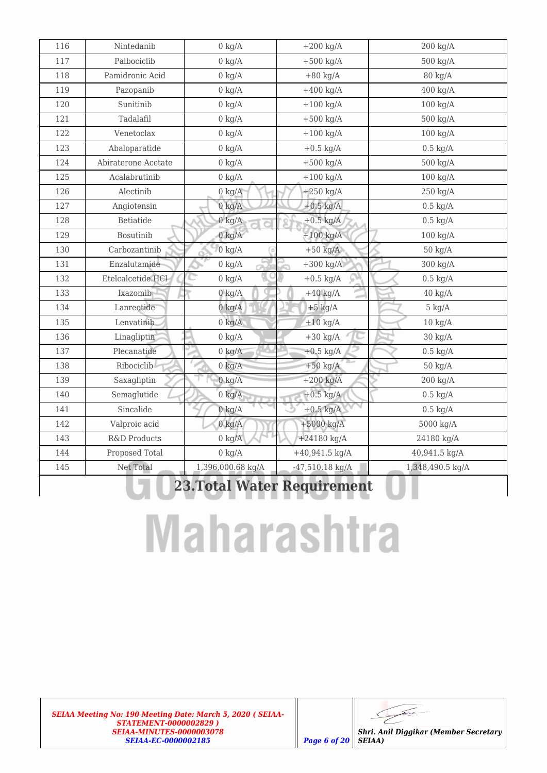$\overline{\phantom{1}}$ L

*Shri. Anil Diggikar (Member Secretary SEIAA)*

# **Maharashtra**

| 116                                | Nintedanib          | $0 \text{ kg/A}$  | $+200$ kg/A       | $200 \text{ kg/A}$ |  |  |  |
|------------------------------------|---------------------|-------------------|-------------------|--------------------|--|--|--|
| 117                                | Palbociclib         | $0 \text{ kg/A}$  | $+500$ kg/A       | 500 kg/A           |  |  |  |
| 118                                | Pamidronic Acid     | $0 \text{ kg/A}$  | $+80$ kg/A        | 80 kg/A            |  |  |  |
| 119                                | Pazopanib           | $0 \text{ kg/A}$  | $+400$ kg/A       | $400 \text{ kg/A}$ |  |  |  |
| 120                                | Sunitinib           | $0 \text{ kg/A}$  | $+100$ kg/A       | $100 \text{ kg/A}$ |  |  |  |
| 121                                | Tadalafil           | $0 \text{ kg/A}$  | $+500$ kg/A       | 500 kg/A           |  |  |  |
| 122                                | Venetoclax          | $0 \text{ kg/A}$  | $+100$ kg/A       | $100 \text{ kg/A}$ |  |  |  |
| 123                                | Abaloparatide       | $0 \text{ kg/A}$  | $+0.5$ kg/A       | $0.5 \text{ kg/A}$ |  |  |  |
| 124                                | Abiraterone Acetate | $0 \text{ kg/A}$  | $+500$ kg/A       | $500 \text{ kg/A}$ |  |  |  |
| 125                                | Acalabrutinib       | $0 \text{ kg/A}$  | $+100$ kg/A       | $100 \text{ kg/A}$ |  |  |  |
| 126                                | Alectinib           | $0 \text{ kg/A}$  | $+250$ kg/A       | $250$ kg/A         |  |  |  |
| 127                                | Angiotensin         | $0 \text{ kg/A}$  | $+0.5$ kg/A       | $0.5 \text{ kg/A}$ |  |  |  |
| 128                                | Betiatide           | $0 \text{ kg/A}$  | $+0.5$ kg/A       | $0.5 \text{ kg/A}$ |  |  |  |
| 129                                | <b>Bosutinib</b>    | $0 \text{ kg/A}$  | $+100$ kg/A       | $100 \text{ kg/A}$ |  |  |  |
| 130                                | Carbozantinib       | $0 \text{ kg/A}$  | $+50$ kg/A        | $50 \text{ kg/A}$  |  |  |  |
| 131                                | Enzalutamide        | $0 \text{ kg/A}$  | $+300$ kg/A       | 300 kg/A           |  |  |  |
| 132                                | Etelcalcetide.HCl   | $0 \text{ kg/A}$  | $+0.5$ kg/A       | $0.5 \text{ kg/A}$ |  |  |  |
| 133                                | Ixazomib            | $0 \text{ kg/A}$  | $+40$ kg/A        | $40 \text{ kg/A}$  |  |  |  |
| 134                                | Lanreotide          | $0 \text{ kg/A}$  | $+5$ kg/A         | $5 \text{ kg/A}$   |  |  |  |
| 135                                | Lenvatinib          | $0 \text{ kg/A}$  | $+10$ kg/A        | $10 \text{ kg/A}$  |  |  |  |
| 136                                | Linagliptin         | $0 \text{ kg/A}$  | $+30$ kg/A        | $30 \text{ kg/A}$  |  |  |  |
| 137                                | Plecanatide         | $0 \text{ kg/A}$  | $+0.5$ kg/A       | $0.5 \text{ kg/A}$ |  |  |  |
| 138                                | Ribociclib          | $0 \text{ kg/A}$  | $+50$ kg/A        | $50 \text{ kg/A}$  |  |  |  |
| 139                                | Saxagliptin         | $0 \text{ kg/A}$  | $+200$ kg/A       | $200 \text{ kg/A}$ |  |  |  |
| 140                                | Semaglutide         | $0 \text{ kg/A}$  | $+0.5$ kg/A       | $0.5 \text{ kg/A}$ |  |  |  |
| 141                                | Sincalide           | $0 \text{ kg/A}$  | $+0.5$ kg/A       | $0.5 \text{ kg/A}$ |  |  |  |
| 142                                | Valproic acid       | $0 \text{ kg/A}$  | +5000 kg/A        | 5000 kg/A          |  |  |  |
| 143                                | R&D Products        | $0 \text{ kg/A}$  | $+24180$ kg/A     | 24180 kg/A         |  |  |  |
| 144                                | Proposed Total      | $0 \text{ kg/A}$  | $+40,941.5$ kg/A  | 40,941.5 kg/A      |  |  |  |
| 145                                | Net Total           | 1,396,000.68 kg/A | $-47,510.18$ kg/A | 1,348,490.5 kg/A   |  |  |  |
| <b>23. Total Water Requirement</b> |                     |                   |                   |                    |  |  |  |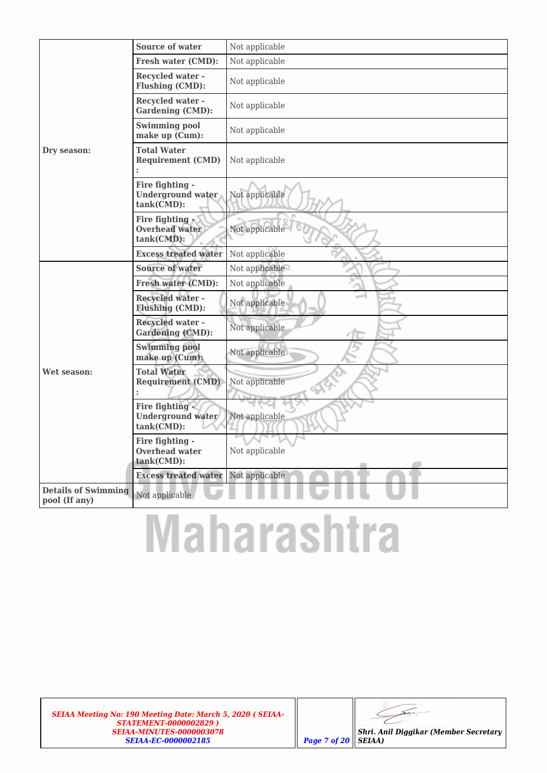|                                             | Source of water                                                        | Not applicable       |
|---------------------------------------------|------------------------------------------------------------------------|----------------------|
|                                             | <b>Fresh water (CMD):</b>                                              | Not applicable       |
|                                             | <b>Recycled water -</b><br><b>Flushing (CMD):</b>                      | Not applicable       |
|                                             | <b>Recycled water -</b><br><b>Gardening (CMD):</b>                     | Not applicable       |
|                                             | <b>Swimming pool</b><br>make up (Cum):                                 | Not applicable       |
| Dry season:                                 | <b>Total Water</b><br><b>Requirement (CMD)</b>                         | Not applicable       |
|                                             | Fire fighting -<br><b>Underground water</b><br>tank(CMD):              | Not applicable       |
|                                             | Fire fighting<br><b>Overhead water</b><br>tank(CMD):                   | Not applicable       |
|                                             | <b>Excess treated water</b>                                            | Not applicable       |
|                                             | <b>Source of water</b>                                                 | Not applicable       |
|                                             | <b>Fresh water (CMD):</b>                                              | Not applicable       |
|                                             | <b>Recycled water -</b><br><b>Flushing (CMD):</b>                      | Not applicable       |
|                                             | <b>Recycled water -</b><br><b>Gardening (CMD):</b>                     | Not applicable       |
|                                             | <b>Swimming pool</b><br>make up (Cum):                                 | Not applicable       |
| Wet season:                                 | <b>Total Water</b><br><b>Requirement (CMD)</b><br>$\ddot{\phantom{a}}$ | Not applicable<br>29 |
|                                             | Fire fighting -<br><b>Underground water</b><br>tank(CMD):              | Not applicable       |
|                                             | Fire fighting -<br><b>Overhead water</b><br>tank(CMD):                 | Not applicable       |
|                                             | <b>Excess treated water</b>                                            | Not applicable       |
| <b>Details of Swimming</b><br>pool (If any) | Not applicable                                                         |                      |

# **Maharashtra**

*SEIAA Meeting No: 190 Meeting Date: March 5, 2020 ( SEIAA-STATEMENT-0000002829 ) SEIAA-MINUTES-0000003078 SEIAA-EC-0000002185 Page 7 of 20*

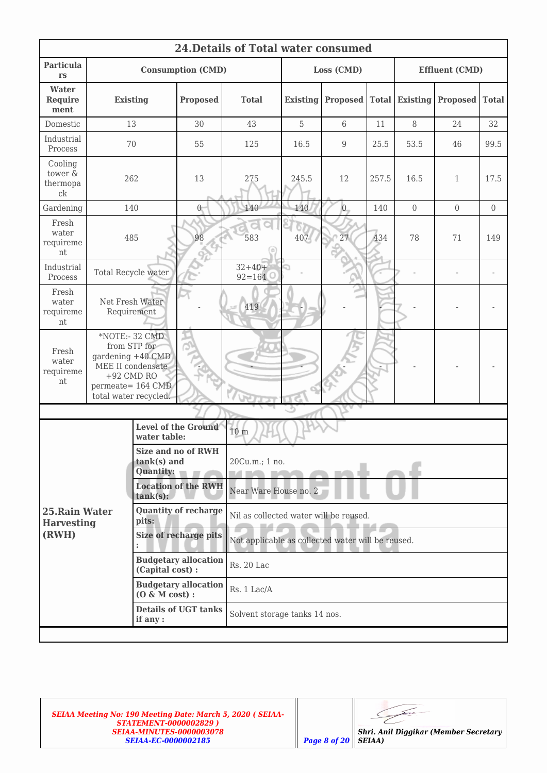| 24. Details of Total water consumed                                                                                                                              |                                                                                                                                        |                          |                                        |                                                   |                 |                 |              |                 |                       |                |
|------------------------------------------------------------------------------------------------------------------------------------------------------------------|----------------------------------------------------------------------------------------------------------------------------------------|--------------------------|----------------------------------------|---------------------------------------------------|-----------------|-----------------|--------------|-----------------|-----------------------|----------------|
| Particula<br><b>rs</b>                                                                                                                                           |                                                                                                                                        |                          | <b>Consumption (CMD)</b>               |                                                   | Loss (CMD)      |                 |              |                 | <b>Effluent (CMD)</b> |                |
| Water<br><b>Require</b><br>ment                                                                                                                                  | <b>Existing</b>                                                                                                                        |                          | <b>Proposed</b>                        | <b>Total</b>                                      | <b>Existing</b> | <b>Proposed</b> | <b>Total</b> | <b>Existing</b> | <b>Proposed</b>       | <b>Total</b>   |
| Domestic                                                                                                                                                         | 13                                                                                                                                     |                          | 30                                     | 43                                                | 5               | 6               | 11           | 8               | 24                    | 32             |
| Industrial<br>Process                                                                                                                                            | 70                                                                                                                                     |                          | 55                                     | 125                                               | 16.5            | 9               | 25.5         | 53.5            | 46                    | 99.5           |
| Cooling<br>tower &<br>thermopa<br>ck                                                                                                                             | 262                                                                                                                                    |                          | 13                                     | 275                                               | 245.5           | 12              | 257.5        | 16.5            | $\mathbf{1}$          | 17.5           |
| Gardening                                                                                                                                                        | 140                                                                                                                                    |                          | $0^-$                                  | 140                                               | 140             | $\overline{0}$  | 140          | $\overline{0}$  | $\overline{0}$        | $\overline{0}$ |
| Fresh<br>water<br>requireme<br>nt                                                                                                                                | 485                                                                                                                                    |                          | 98                                     | 583                                               | 407             | 27              | 434          | 78              | 71                    | 149            |
| Industrial<br>Process                                                                                                                                            | Total Recycle water                                                                                                                    |                          |                                        | $32 + 40 +$<br>$92 = 164$                         |                 |                 |              |                 |                       |                |
| Fresh<br>water<br>requireme<br>nt                                                                                                                                | Net Fresh Water<br>Requirement                                                                                                         |                          |                                        | 419                                               |                 |                 |              |                 |                       |                |
| Fresh<br>water<br>requireme<br>nt                                                                                                                                | *NOTE:- 32 CMD<br>from STP for<br>gardening +40 CMD<br>MEE II condensate<br>$+92$ CMD RO<br>permeate= 164 CMD<br>total water recycled. |                          |                                        |                                                   |                 |                 |              |                 |                       |                |
|                                                                                                                                                                  |                                                                                                                                        |                          |                                        |                                                   |                 |                 |              |                 |                       |                |
|                                                                                                                                                                  |                                                                                                                                        | water table:             | <b>Level of the Ground</b>             | 10 <sub>m</sub>                                   |                 |                 |              |                 |                       |                |
|                                                                                                                                                                  |                                                                                                                                        | tank(s) and<br>Quantity: | <b>Size and no of RWH</b>              | 20Cu.m.; 1 no.                                    |                 |                 |              |                 |                       |                |
| <b>Location of the RWH</b><br>$tank(s)$ :                                                                                                                        |                                                                                                                                        |                          | Near Ware House no. 2                  |                                                   |                 |                 |              |                 |                       |                |
| <b>Quantity of recharge</b><br>25. Rain Water<br>pits:<br><b>Harvesting</b><br>(RWH)<br>Size of recharge pits<br><b>Budgetary allocation</b><br>(Capital cost) : |                                                                                                                                        |                          | Nil as collected water will be reused. |                                                   |                 |                 |              |                 |                       |                |
|                                                                                                                                                                  |                                                                                                                                        |                          |                                        | Not applicable as collected water will be reused. |                 |                 |              |                 |                       |                |
|                                                                                                                                                                  |                                                                                                                                        |                          | <b>Rs. 20 Lac</b>                      |                                                   |                 |                 |              |                 |                       |                |
|                                                                                                                                                                  |                                                                                                                                        | $(0 \& M cost):$         | <b>Budgetary allocation</b>            | Rs. 1 Lac/A                                       |                 |                 |              |                 |                       |                |
|                                                                                                                                                                  |                                                                                                                                        | if any :                 | <b>Details of UGT tanks</b>            | Solvent storage tanks 14 nos.                     |                 |                 |              |                 |                       |                |
|                                                                                                                                                                  |                                                                                                                                        |                          |                                        |                                                   |                 |                 |              |                 |                       |                |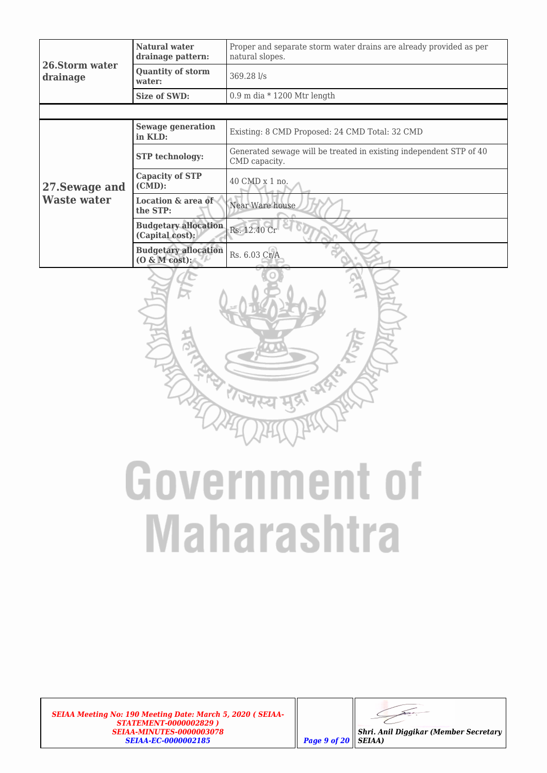|                            | Natural water<br>drainage pattern:              | Proper and separate storm water drains are already provided as per<br>natural slopes. |  |  |  |
|----------------------------|-------------------------------------------------|---------------------------------------------------------------------------------------|--|--|--|
| 26.Storm water<br>drainage | <b>Quantity of storm</b><br>water:              | 369.28 l/s                                                                            |  |  |  |
|                            | Size of SWD:                                    | $0.9$ m dia * 1200 Mtr length                                                         |  |  |  |
|                            |                                                 |                                                                                       |  |  |  |
|                            | Sewage generation<br>in KLD:                    | Existing: 8 CMD Proposed: 24 CMD Total: 32 CMD                                        |  |  |  |
|                            | <b>STP</b> technology:                          | Generated sewage will be treated in existing independent STP of 40<br>CMD capacity.   |  |  |  |
| 27. Sewage and             | <b>Capacity of STP</b><br>$(CMD)$ :             | 40 CMD x 1 no.                                                                        |  |  |  |
| <b>Waste water</b>         | <b>Location &amp; area of</b><br>the STP:       | Near Ware house                                                                       |  |  |  |
|                            | <b>Budgetary allocation</b><br>(Capital cost):  | Rs. 12.40 Cr                                                                          |  |  |  |
|                            | <b>Budgetary allocation</b><br>$(0 \& M cost):$ | Rs. 6.03 Cr/A                                                                         |  |  |  |



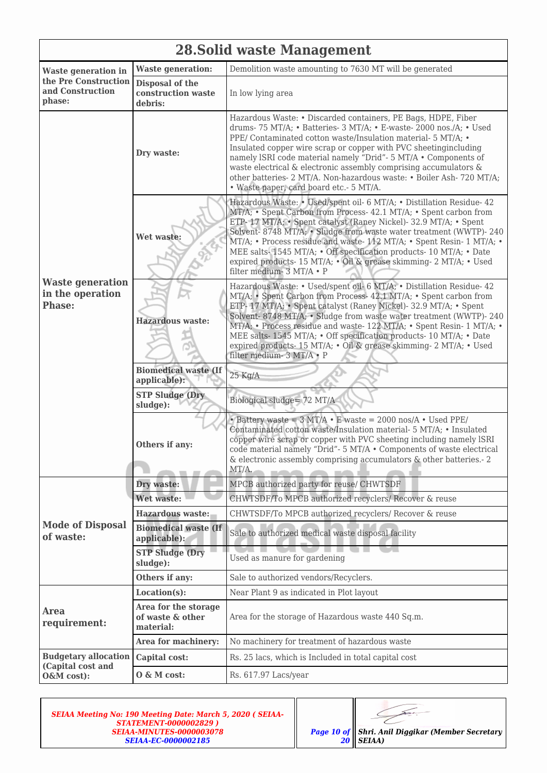|                                                              | 28. Solid waste Management                            |                                                                                                                                                                                                                                                                                                                                                                                                                                                                                                                                     |  |  |  |  |
|--------------------------------------------------------------|-------------------------------------------------------|-------------------------------------------------------------------------------------------------------------------------------------------------------------------------------------------------------------------------------------------------------------------------------------------------------------------------------------------------------------------------------------------------------------------------------------------------------------------------------------------------------------------------------------|--|--|--|--|
| <b>Waste generation in</b>                                   | <b>Waste generation:</b>                              | Demolition waste amounting to 7630 MT will be generated                                                                                                                                                                                                                                                                                                                                                                                                                                                                             |  |  |  |  |
| the Pre Construction<br>and Construction<br>phase:           | Disposal of the<br>construction waste<br>debris:      | In low lying area                                                                                                                                                                                                                                                                                                                                                                                                                                                                                                                   |  |  |  |  |
|                                                              | Dry waste:                                            | Hazardous Waste: • Discarded containers, PE Bags, HDPE, Fiber<br>drums-75 MT/A; • Batteries-3 MT/A; • E-waste-2000 nos./A; • Used<br>PPE/ Contaminated cotton waste/Insulation material- 5 MT/A; •<br>Insulated copper wire scrap or copper with PVC sheeting including<br>namely ISRI code material namely "Drid"- 5 MT/A . Components of<br>waste electrical & electronic assembly comprising accumulators &<br>other batteries- 2 MT/A. Non-hazardous waste: • Boiler Ash- 720 MT/A;<br>· Waste paper, card board etc.- 5 MT/A.  |  |  |  |  |
|                                                              | Wet waste:                                            | Hazardous Waste: • Used/spent oil- 6 MT/A; • Distillation Residue- 42<br>MT/A; • Spent Carbon from Process- 42.1 MT/A; • Spent carbon from<br>ETP-17 MT/A; • Spent catalyst (Raney Nickel)-32.9 MT/A; • Spent<br>Solvent-8748 MT/A; • Sludge from waste water treatment (WWTP)-240<br>MT/A; • Process residue and waste- 112 MT/A; • Spent Resin- 1 MT/A; •<br>MEE salts-1545 MT/A; • Off specification products-10 MT/A; • Date<br>expired products- 15 MT/A; . Oil & grease skimming- 2 MT/A; . Used<br>filter medium- 3 MT/A · P |  |  |  |  |
| <b>Waste generation</b><br>in the operation<br><b>Phase:</b> | <b>Hazardous waste:</b>                               | Hazardous Waste: • Used/spent oil- 6 MT/A; • Distillation Residue- 42<br>MT/A; • Spent Carbon from Process- 42.1 MT/A; • Spent carbon from<br>ETP-17 MT/A; · Spent catalyst (Raney Nickel)- 32.9 MT/A; · Spent<br>Solvent-8748 MT/A; • Sludge from waste water treatment (WWTP)-240<br>MT/A; • Process residue and waste-122 MT/A; • Spent Resin-1 MT/A; •<br>MEE salts-1545 MT/A; • Off specification products-10 MT/A; • Date<br>expired products- 15 MT/A; · Oil & grease skimming- 2 MT/A; · Used<br>filter medium- 3 MT/A · P  |  |  |  |  |
|                                                              | <b>Biomedical waste (If</b><br>applicable):           | $25$ Kg/A                                                                                                                                                                                                                                                                                                                                                                                                                                                                                                                           |  |  |  |  |
|                                                              | <b>STP Sludge (Dry</b><br>sludge):                    | Biological sludge= 72 MT/A                                                                                                                                                                                                                                                                                                                                                                                                                                                                                                          |  |  |  |  |
|                                                              | Others if any:                                        | $\bullet$ Battery waste = 3 MT/A $\bullet$ E waste = 2000 nos/A $\bullet$ Used PPE/<br>Contaminated cotton waste/Insulation material- 5 MT/A; • Insulated<br>copper wire scrap or copper with PVC sheeting including namely ISRI<br>code material namely "Drid"- 5 MT/A . Components of waste electrical<br>& electronic assembly comprising accumulators $\&$ other batteries. - 2<br>MT/A.                                                                                                                                        |  |  |  |  |
|                                                              | Dry waste:                                            | MPCB authorized party for reuse/ CHWTSDF                                                                                                                                                                                                                                                                                                                                                                                                                                                                                            |  |  |  |  |
|                                                              | Wet waste:                                            | CHWTSDF/To MPCB authorized recyclers/ Recover & reuse                                                                                                                                                                                                                                                                                                                                                                                                                                                                               |  |  |  |  |
|                                                              | Hazardous waste:                                      | CHWTSDF/To MPCB authorized recyclers/ Recover & reuse                                                                                                                                                                                                                                                                                                                                                                                                                                                                               |  |  |  |  |
| <b>Mode of Disposal</b><br>of waste:                         | <b>Biomedical waste (If</b><br>applicable):           | Sale to authorized medical waste disposal facility                                                                                                                                                                                                                                                                                                                                                                                                                                                                                  |  |  |  |  |
|                                                              | <b>STP Sludge (Dry</b><br>sludge):                    | Used as manure for gardening                                                                                                                                                                                                                                                                                                                                                                                                                                                                                                        |  |  |  |  |
|                                                              | Others if any:                                        | Sale to authorized vendors/Recyclers.                                                                                                                                                                                                                                                                                                                                                                                                                                                                                               |  |  |  |  |
|                                                              | Location(s):                                          | Near Plant 9 as indicated in Plot layout                                                                                                                                                                                                                                                                                                                                                                                                                                                                                            |  |  |  |  |
| <b>Area</b><br>requirement:                                  | Area for the storage<br>of waste & other<br>material: | Area for the storage of Hazardous waste 440 Sq.m.                                                                                                                                                                                                                                                                                                                                                                                                                                                                                   |  |  |  |  |
|                                                              | Area for machinery:                                   | No machinery for treatment of hazardous waste                                                                                                                                                                                                                                                                                                                                                                                                                                                                                       |  |  |  |  |
| <b>Budgetary allocation</b><br>(Capital cost and             | Capital cost:                                         | Rs. 25 lacs, which is Included in total capital cost                                                                                                                                                                                                                                                                                                                                                                                                                                                                                |  |  |  |  |
| O&M cost):                                                   | O & M cost:                                           | Rs. 617.97 Lacs/year                                                                                                                                                                                                                                                                                                                                                                                                                                                                                                                |  |  |  |  |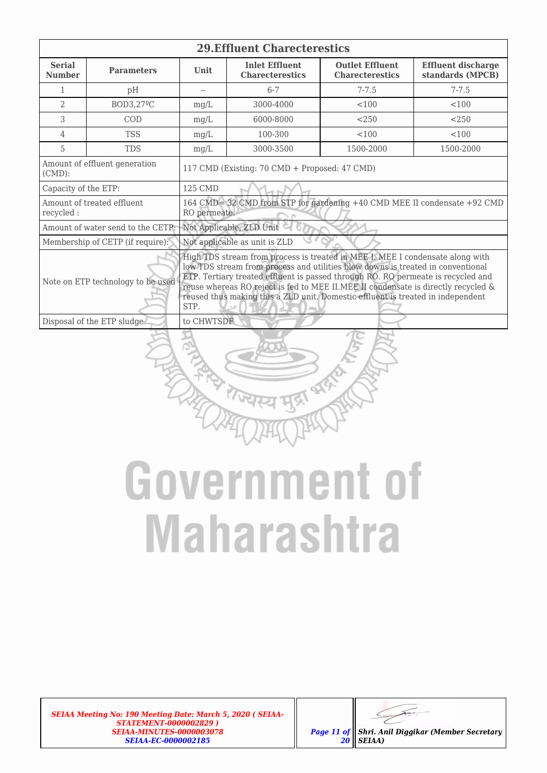| <b>29. Effluent Charecterestics</b>                                                                                                                                                                                                                                                                                                                                                                                                                                       |                                   |                                               |                                                                                                     |           |                                               |  |  |
|---------------------------------------------------------------------------------------------------------------------------------------------------------------------------------------------------------------------------------------------------------------------------------------------------------------------------------------------------------------------------------------------------------------------------------------------------------------------------|-----------------------------------|-----------------------------------------------|-----------------------------------------------------------------------------------------------------|-----------|-----------------------------------------------|--|--|
| <b>Serial</b><br><b>Number</b>                                                                                                                                                                                                                                                                                                                                                                                                                                            | <b>Parameters</b>                 | <b>Unit</b>                                   | <b>Inlet Effluent</b><br><b>Outlet Effluent</b><br><b>Charecterestics</b><br><b>Charecterestics</b> |           | <b>Effluent discharge</b><br>standards (MPCB) |  |  |
| 1                                                                                                                                                                                                                                                                                                                                                                                                                                                                         | pH                                | $-$                                           | $6 - 7$                                                                                             | $7 - 7.5$ | $7 - 7.5$                                     |  |  |
| $\overline{a}$                                                                                                                                                                                                                                                                                                                                                                                                                                                            | BOD3,27ºC                         | mg/L                                          | 3000-4000                                                                                           | < 100     | 100                                           |  |  |
| 3                                                                                                                                                                                                                                                                                                                                                                                                                                                                         | COD                               | mq/L                                          | 6000-8000                                                                                           | < 250     | < 250                                         |  |  |
| 4                                                                                                                                                                                                                                                                                                                                                                                                                                                                         | <b>TSS</b>                        | mg/L                                          | 100-300                                                                                             | < 100     | < 100                                         |  |  |
| 5                                                                                                                                                                                                                                                                                                                                                                                                                                                                         | <b>TDS</b>                        | mg/L                                          | 3000-3500                                                                                           | 1500-2000 | 1500-2000                                     |  |  |
| Amount of effluent generation<br>$(CMD)$ :                                                                                                                                                                                                                                                                                                                                                                                                                                |                                   | 117 CMD (Existing: 70 CMD + Proposed: 47 CMD) |                                                                                                     |           |                                               |  |  |
| Capacity of the ETP:                                                                                                                                                                                                                                                                                                                                                                                                                                                      |                                   | 125 CMD                                       |                                                                                                     |           |                                               |  |  |
| recycled:                                                                                                                                                                                                                                                                                                                                                                                                                                                                 | Amount of treated effluent        | RO permeate.                                  | 164 CMD= 32 CMD from STP for gardening +40 CMD MEE II condensate +92 CMD                            |           |                                               |  |  |
|                                                                                                                                                                                                                                                                                                                                                                                                                                                                           | Amount of water send to the CETP: |                                               | Not Applicable, ZLD Unit                                                                            |           |                                               |  |  |
|                                                                                                                                                                                                                                                                                                                                                                                                                                                                           | Membership of CETP (if require):  |                                               | Not applicable as unit is ZLD                                                                       |           |                                               |  |  |
| High TDS stream from process is treated in MEE I. MEE I condensate along with<br>low TDS stream from process and utilities blow downs is treated in conventional<br>ETP. Tertiary treated effluent is passed through RO. RO permeate is recycled and<br>Note on ETP technology to be used<br>reuse whereas RO reject is fed to MEE II.MEE II condensate is directly recycled &<br>reused thus making this a ZLD unit. Domestic effluent is treated in independent<br>STP. |                                   |                                               |                                                                                                     |           |                                               |  |  |
|                                                                                                                                                                                                                                                                                                                                                                                                                                                                           | Disposal of the ETP sludge        | to CHWTSDF                                    |                                                                                                     |           |                                               |  |  |
|                                                                                                                                                                                                                                                                                                                                                                                                                                                                           |                                   |                                               |                                                                                                     |           |                                               |  |  |

## **Government of Maharashtra**



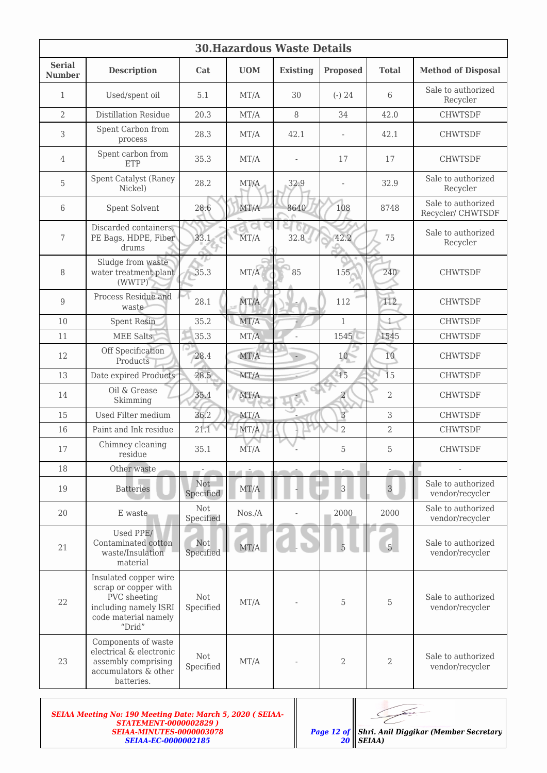| <b>30. Hazardous Waste Details</b> |                                                                                                                          |                         |              |                 |                 |                |                                         |  |
|------------------------------------|--------------------------------------------------------------------------------------------------------------------------|-------------------------|--------------|-----------------|-----------------|----------------|-----------------------------------------|--|
| <b>Serial</b><br><b>Number</b>     | <b>Description</b>                                                                                                       | Cat                     | <b>UOM</b>   | <b>Existing</b> | <b>Proposed</b> | <b>Total</b>   | <b>Method of Disposal</b>               |  |
| 1                                  | Used/spent oil                                                                                                           | 5.1                     | MT/A         | 30              | $(-) 24$        | 6              | Sale to authorized<br>Recycler          |  |
| 2                                  | <b>Distillation Residue</b>                                                                                              | 20.3                    | MT/A         | 8               | 34              | 42.0           | <b>CHWTSDF</b>                          |  |
| 3                                  | Spent Carbon from<br>process                                                                                             | 28.3                    | MT/A         | 42.1            |                 | 42.1           | <b>CHWTSDF</b>                          |  |
| 4                                  | Spent carbon from<br>ETP                                                                                                 | 35.3                    | MT/A         |                 | 17              | 17             | <b>CHWTSDF</b>                          |  |
| 5                                  | Spent Catalyst (Raney<br>Nickel)                                                                                         | 28.2                    | MT/A         | 32.9            |                 | 32.9           | Sale to authorized<br>Recycler          |  |
| 6                                  | Spent Solvent                                                                                                            | 28.6                    | MT/A         | 8640            | 108             | 8748           | Sale to authorized<br>Recycler/ CHWTSDF |  |
| 7                                  | Discarded containers,<br>PE Bags, HDPE, Fiber<br>drums                                                                   | 33.1                    | MT/A         | 32.8            | 42.2            | 75             | Sale to authorized<br>Recycler          |  |
| 8                                  | Sludge from waste<br>water treatment plant<br>(WWTP)                                                                     | 7 (.)<br>35.3           | MT/A         | 85              | 155             | 240            | <b>CHWTSDF</b>                          |  |
| 9                                  | Process Residue and<br>waste                                                                                             | 28.1                    | MT/A         |                 | 112             | 112            | <b>CHWTSDF</b>                          |  |
| 10                                 | <b>Spent Resin</b>                                                                                                       | 35.2                    | MT/A         |                 | $\mathbf{1}$    | $\mathbf{1}$   | <b>CHWTSDF</b>                          |  |
| 11                                 | <b>MEE Salts</b>                                                                                                         | 35.3                    | MT/A         |                 | 1545            | 1545           | <b>CHWTSDF</b>                          |  |
| 12                                 | Off Specification<br>Products                                                                                            | 28.4                    | MT/A         |                 | 10              | 10             | <b>CHWTSDF</b>                          |  |
| 13                                 | Date expired Products                                                                                                    | 28.5                    | MT/A         |                 | 15              | 15             | <b>CHWTSDF</b>                          |  |
| 14                                 | Oil & Grease<br>Skimming                                                                                                 | 35.4                    | MT/A         |                 | 2               | 2              | <b>CHWTSDF</b>                          |  |
| 15                                 | Used Filter medium                                                                                                       | 36.2                    | MT/A         |                 | $\overline{3}$  | 3              | <b>CHWTSDF</b>                          |  |
| 16                                 | Paint and Ink residue                                                                                                    | 21.1                    | MT/A         |                 | $\overline{2}$  | $\overline{2}$ | <b>CHWTSDF</b>                          |  |
| $17\,$                             | Chimney cleaning<br>residue                                                                                              | 35.1                    | MT/A         |                 | 5               | 5              | <b>CHWTSDF</b>                          |  |
| 18                                 | Other waste                                                                                                              | mir 20                  | na dat       |                 | m20             |                |                                         |  |
| 19                                 | <b>Batteries</b>                                                                                                         | <b>Not</b><br>Specified | MT/A         |                 | $\overline{3}$  | $\overline{3}$ | Sale to authorized<br>vendor/recycler   |  |
| 20                                 | E waste                                                                                                                  | Not<br>Specified        | $N$ os./ $A$ |                 | 2000            | 2000           | Sale to authorized<br>vendor/recycler   |  |
| 21                                 | Used PPE/<br>Contaminated cotton<br>waste/Insulation<br>material                                                         | <b>Not</b><br>Specified | MT/A         |                 |                 | $\overline{5}$ | Sale to authorized<br>vendor/recycler   |  |
| 22                                 | Insulated copper wire<br>scrap or copper with<br>PVC sheeting<br>including namely ISRI<br>code material namely<br>"Drid" | Not<br>Specified        | $\rm{MT}/A$  |                 | 5               | 5              | Sale to authorized<br>vendor/recycler   |  |
| 23                                 | Components of waste<br>electrical & electronic<br>assembly comprising<br>accumulators & other<br>batteries.              | Not<br>Specified        | MT/A         |                 | $\overline{2}$  | 2              | Sale to authorized<br>vendor/recycler   |  |
|                                    |                                                                                                                          |                         |              |                 |                 |                |                                         |  |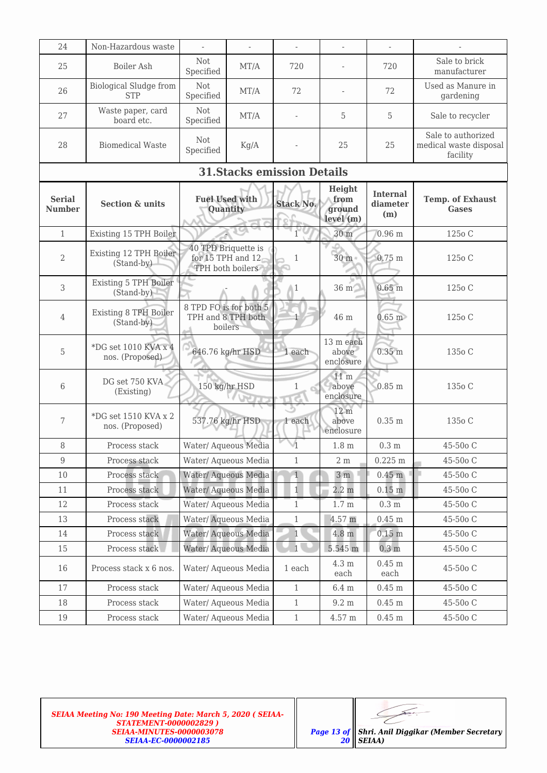| 24                             | Non-Hazardous waste                         | $\frac{1}{2}$                                           |                                       | $\overline{\phantom{0}}$           |                                       |                                    |                                                          |
|--------------------------------|---------------------------------------------|---------------------------------------------------------|---------------------------------------|------------------------------------|---------------------------------------|------------------------------------|----------------------------------------------------------|
| 25                             | Boiler Ash                                  | Not<br>Specified                                        | MT/A                                  | 720                                |                                       | 720                                | Sale to brick<br>manufacturer                            |
| 26                             | <b>Biological Sludge from</b><br><b>STP</b> | Not<br>Specified                                        | MT/A                                  | 72                                 |                                       | 72                                 | Used as Manure in<br>gardening                           |
| 27                             | Waste paper, card<br>board etc.             | Not<br>Specified                                        | MT/A                                  |                                    | 5                                     | 5                                  | Sale to recycler                                         |
| 28                             | <b>Biomedical Waste</b>                     | <b>Not</b><br>Specified                                 | Kg/A                                  |                                    | 25                                    | 25                                 | Sale to authorized<br>medical waste disposal<br>facility |
|                                |                                             |                                                         |                                       | <b>31. Stacks emission Details</b> |                                       |                                    |                                                          |
| <b>Serial</b><br><b>Number</b> | <b>Section &amp; units</b>                  | <b>Fuel Used with</b>                                   | Quantity                              | <b>Stack No.</b>                   | Height<br>from<br>ground<br>level(m)  | <b>Internal</b><br>diameter<br>(m) | <b>Temp. of Exhaust</b><br><b>Gases</b>                  |
| $\mathbf{1}$                   | Existing 15 TPH Boiler                      |                                                         |                                       | $\mathbf{1}$                       | 30 m                                  | $0.96$ m                           | 125o C                                                   |
| 2                              | Existing 12 TPH Boiler<br>(Stand-by)        | 40 TPD Briquette is                                     | for 15 TPH and 12<br>TPH both boilers | 1                                  | 30 <sub>m</sub>                       | $0.75$ m                           | 125 <sub>0</sub> C                                       |
| 3                              | <b>Existing 5 TPH Boiler</b><br>(Stand-by)  |                                                         |                                       | $\triangle 1$                      | 36 m                                  | 0.65 <sub>m</sub>                  | 125 <sub>o</sub> C                                       |
| 4                              | <b>Existing 8 TPH Boiler</b><br>(Stand-by)  | 8 TPD FO is for both 5<br>TPH and 8 TPH both<br>boilers |                                       |                                    | 46 m                                  | $0.65$ m                           | 125o C                                                   |
| 5                              | *DG set $1010$ KVA x 4<br>nos. (Proposed)   | 646.76 kg/hr HSD                                        |                                       | 1 each                             | 13 m each<br>above<br>enclosure       | $0.35$ m                           | 135 <sub>0</sub> C                                       |
| 6                              | DG set 750 KVA<br>(Existing)                | 150 kg/hr HSD                                           |                                       | 1<br>т                             | 11 <sub>m</sub><br>above<br>enclosure | $0.85$ m                           | 135 <sub>0</sub> C                                       |
| 7                              | *DG set 1510 KVA x 2<br>nos. (Proposed)     |                                                         | 537.76 kg/hr HSD                      | 1 each                             | 12 m<br>above<br>enclosure            | $0.35$ m                           | 135o C                                                   |
| 8                              | Process stack                               | Water/ Aqueous Media                                    |                                       |                                    | 1.8 <sub>m</sub>                      | 0.3 <sub>m</sub>                   | 45-50o C                                                 |
| 9                              | Process stack                               | Water/ Aqueous Media                                    |                                       | $\mathbf{1}$                       | $2\ \mathrm{m}$                       | $0.225 \text{ m}$                  | 45-50o C                                                 |
| 10                             | Process stack                               |                                                         | Water/ Aqueous Media                  | $1\,$                              | 3 <sub>m</sub>                        | 0.45 <sub>m</sub>                  | 45-50o C                                                 |
| 11                             | Process stack                               |                                                         | Water/ Aqueous Media                  | $\mathbf{1}$                       | $2.2 \text{ m}$                       | $0.15$ m                           | 45-50o C                                                 |
| 12                             | Process stack                               | Water/Aqueous Media                                     |                                       | $\mathbf{1}$                       | 1.7 <sub>m</sub>                      | 0.3 <sub>m</sub>                   | 45-50o C                                                 |
| 13                             | Process stack                               |                                                         | Water/ Aqueous Media                  | $\mathbf{1}$                       | 4.57 m                                | $0.45$ m                           | 45-50o C                                                 |
| 14                             | Process stack                               | Water/ Aqueous Media                                    |                                       | $\mathbf{1}$                       | $4.8 \text{ m}$                       | $0.15 \text{ m}$                   | 45-50o C                                                 |
| 15                             | Process stack                               |                                                         | Water/ Aqueous Media                  | $\overline{1}$                     | 5.545 m                               | 0.3 <sub>m</sub>                   | 45-50o C                                                 |
| 16                             | Process stack x 6 nos.                      | Water/ Aqueous Media                                    |                                       | 1 each                             | 4.3 m<br>each                         | $0.45$ m<br>each                   | 45-50o C                                                 |
| 17                             | Process stack                               | Water/ Aqueous Media                                    |                                       | $\mathbf{1}$                       | $6.4~\mathrm{m}$                      | $0.45$ m                           | 45-50o C                                                 |
| 18                             | Process stack                               | Water/ Aqueous Media                                    |                                       | $\mathbf{1}$                       | $9.2 \text{ m}$                       | $0.45~\mathrm{m}$                  | 45-50o C                                                 |
| 19                             | Process stack                               |                                                         | Water/ Aqueous Media                  | $\,1$                              | $4.57~\mathrm{m}$                     | $0.45~\mathrm{m}$                  | 45-50o C                                                 |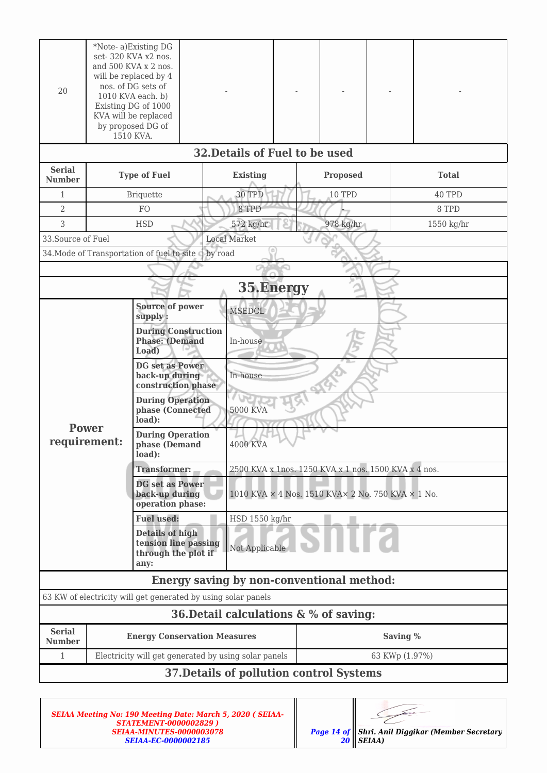| 20                                       |              | *Note-a)Existing DG<br>set-320 KVA x2 nos.<br>and 500 KVA x 2 nos.<br>will be replaced by 4<br>nos. of DG sets of<br>1010 KVA each. b)<br>Existing DG of 1000<br>KVA will be replaced<br>by proposed DG of<br>1510 KVA. |                                                  |                                                   |                 |                                                      |              |  |  |  |
|------------------------------------------|--------------|-------------------------------------------------------------------------------------------------------------------------------------------------------------------------------------------------------------------------|--------------------------------------------------|---------------------------------------------------|-----------------|------------------------------------------------------|--------------|--|--|--|
|                                          |              |                                                                                                                                                                                                                         | 32. Details of Fuel to be used                   |                                                   |                 |                                                      |              |  |  |  |
| <b>Serial</b><br><b>Number</b>           |              | <b>Type of Fuel</b>                                                                                                                                                                                                     | <b>Existing</b>                                  |                                                   | <b>Proposed</b> |                                                      | <b>Total</b> |  |  |  |
| $\mathbf{1}$                             |              | Briquette                                                                                                                                                                                                               | 30 TPD                                           |                                                   | 10 TPD          |                                                      | 40 TPD       |  |  |  |
| 2                                        |              | FO                                                                                                                                                                                                                      | 8 TPD                                            |                                                   |                 |                                                      | 8 TPD        |  |  |  |
| 3                                        |              | <b>HSD</b>                                                                                                                                                                                                              | 572 kg/hr                                        |                                                   | 978 kg/hr       |                                                      | 1550 kg/hr   |  |  |  |
| 33. Source of Fuel                       |              |                                                                                                                                                                                                                         | <b>Local Market</b>                              |                                                   |                 |                                                      |              |  |  |  |
|                                          |              | 34. Mode of Transportation of fuel to site                                                                                                                                                                              | by road                                          |                                                   |                 |                                                      |              |  |  |  |
|                                          |              |                                                                                                                                                                                                                         |                                                  | ⋒                                                 |                 |                                                      |              |  |  |  |
|                                          |              |                                                                                                                                                                                                                         | 35.Energy                                        |                                                   |                 |                                                      |              |  |  |  |
|                                          |              | <b>Source of power</b><br>supply:                                                                                                                                                                                       | <b>MSEDCL</b>                                    |                                                   |                 |                                                      |              |  |  |  |
|                                          |              | <b>During Construction</b><br><b>Phase: (Demand</b><br>Load)                                                                                                                                                            | In-house                                         |                                                   |                 |                                                      |              |  |  |  |
|                                          |              | DG set as Power<br>back-up during<br>construction phase                                                                                                                                                                 | In-house                                         |                                                   |                 |                                                      |              |  |  |  |
|                                          |              | <b>During Operation</b><br>phase (Connected<br>load):                                                                                                                                                                   | 5000 KVA                                         |                                                   |                 |                                                      |              |  |  |  |
| requirement:                             | <b>Power</b> | <b>During Operation</b><br>phase (Demand<br>load):                                                                                                                                                                      | <b>4000 KVA</b>                                  |                                                   |                 |                                                      |              |  |  |  |
|                                          |              | <b>Transformer:</b>                                                                                                                                                                                                     |                                                  |                                                   |                 | 2500 KVA x 1nos. 1250 KVA x 1 nos. 1500 KVA x 4 nos. |              |  |  |  |
|                                          |              | <b>DG</b> set as Power<br>back-up during<br>operation phase:                                                                                                                                                            |                                                  | 1010 KVA × 4 Nos. 1510 KVA× 2 No. 750 KVA × 1 No. |                 |                                                      |              |  |  |  |
|                                          |              | <b>Fuel used:</b>                                                                                                                                                                                                       |                                                  | HSD 1550 kg/hr                                    |                 |                                                      |              |  |  |  |
|                                          |              | <b>Details of high</b><br>tension line passing<br>Not Applicable<br>through the plot if<br>any:                                                                                                                         |                                                  |                                                   |                 |                                                      |              |  |  |  |
|                                          |              |                                                                                                                                                                                                                         | <b>Energy saving by non-conventional method:</b> |                                                   |                 |                                                      |              |  |  |  |
|                                          |              | 63 KW of electricity will get generated by using solar panels                                                                                                                                                           |                                                  |                                                   |                 |                                                      |              |  |  |  |
|                                          |              |                                                                                                                                                                                                                         | 36. Detail calculations & % of saving:           |                                                   |                 |                                                      |              |  |  |  |
| <b>Serial</b><br><b>Number</b>           |              | <b>Energy Conservation Measures</b>                                                                                                                                                                                     |                                                  | Saving %                                          |                 |                                                      |              |  |  |  |
| 1                                        |              | Electricity will get generated by using solar panels                                                                                                                                                                    |                                                  |                                                   |                 | 63 KWp (1.97%)                                       |              |  |  |  |
| 37. Details of pollution control Systems |              |                                                                                                                                                                                                                         |                                                  |                                                   |                 |                                                      |              |  |  |  |

| <b>SEIAA Meeting No: 190 Meeting Date: March 5, 2020 (SEIAA-</b><br><b>STATEMENT-0000002829)</b> |                                                         |
|--------------------------------------------------------------------------------------------------|---------------------------------------------------------|
| <b>SEIAA-MINUTES-0000003078</b>                                                                  | <b>Page 14 of Shri. Anil Diggikar (Member Secretary</b> |
| <b>SEIAA-EC-0000002185</b>                                                                       | $20$    SEIAA)                                          |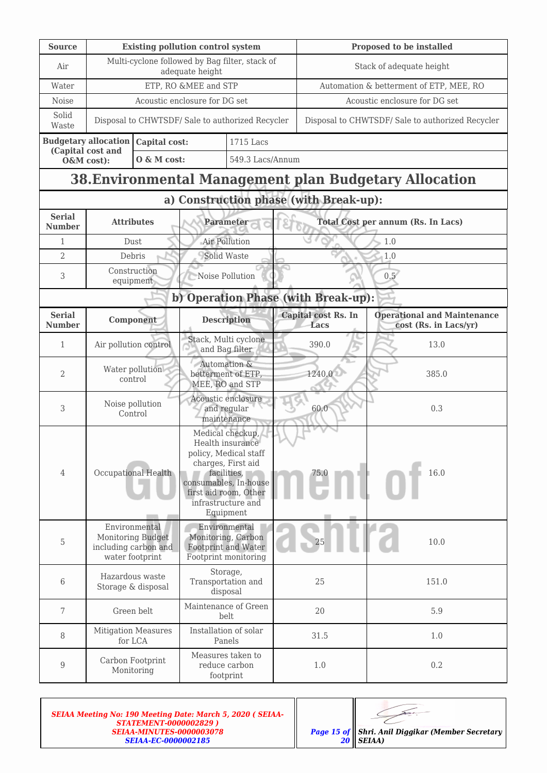| <b>Source</b>                  | <b>Existing pollution control system</b>                          |                                                                               |                                                                                                                                                                                         |                                                                                    |  | <b>Proposed to be installed</b>         |                                                               |  |      |
|--------------------------------|-------------------------------------------------------------------|-------------------------------------------------------------------------------|-----------------------------------------------------------------------------------------------------------------------------------------------------------------------------------------|------------------------------------------------------------------------------------|--|-----------------------------------------|---------------------------------------------------------------|--|------|
| Air                            | Multi-cyclone followed by Bag filter, stack of<br>adequate height |                                                                               |                                                                                                                                                                                         |                                                                                    |  | Stack of adequate height                |                                                               |  |      |
| Water                          | ETP, RO &MEE and STP                                              |                                                                               |                                                                                                                                                                                         |                                                                                    |  | Automation & betterment of ETP, MEE, RO |                                                               |  |      |
| Noise                          |                                                                   |                                                                               | Acoustic enclosure for DG set                                                                                                                                                           |                                                                                    |  |                                         | Acoustic enclosure for DG set                                 |  |      |
| Solid<br>Waste                 |                                                                   | Disposal to CHWTSDF/ Sale to authorized Recycler                              |                                                                                                                                                                                         |                                                                                    |  |                                         | Disposal to CHWTSDF/ Sale to authorized Recycler              |  |      |
|                                | <b>Budgetary allocation</b>                                       | Capital cost:                                                                 |                                                                                                                                                                                         | 1715 Lacs                                                                          |  |                                         |                                                               |  |      |
|                                | (Capital cost and<br>O&M cost):                                   | $0 \& M cost:$                                                                |                                                                                                                                                                                         | 549.3 Lacs/Annum                                                                   |  |                                         |                                                               |  |      |
|                                |                                                                   |                                                                               |                                                                                                                                                                                         |                                                                                    |  |                                         | <b>38. Environmental Management plan Budgetary Allocation</b> |  |      |
|                                |                                                                   |                                                                               |                                                                                                                                                                                         |                                                                                    |  | a) Construction phase (with Break-up):  |                                                               |  |      |
| <b>Serial</b><br><b>Number</b> |                                                                   | <b>Attributes</b>                                                             |                                                                                                                                                                                         | Parameter                                                                          |  |                                         | <b>Total Cost per annum (Rs. In Lacs)</b>                     |  |      |
| 1                              |                                                                   | Dust                                                                          | Air Pollution                                                                                                                                                                           |                                                                                    |  |                                         | 1.0                                                           |  |      |
| $\overline{2}$                 |                                                                   | Debris                                                                        | Solid Waste                                                                                                                                                                             |                                                                                    |  |                                         | 1.0                                                           |  |      |
| 3                              |                                                                   | Construction<br>equipment                                                     |                                                                                                                                                                                         | Noise Pollution                                                                    |  |                                         | 0.5                                                           |  |      |
|                                |                                                                   |                                                                               |                                                                                                                                                                                         |                                                                                    |  | b) Operation Phase (with Break-up):     |                                                               |  |      |
| <b>Serial</b><br><b>Number</b> |                                                                   | Component                                                                     | <b>Description</b>                                                                                                                                                                      |                                                                                    |  | <b>Capital cost Rs. In</b><br>Lacs      | <b>Operational and Maintenance</b><br>cost (Rs. in Lacs/yr)   |  |      |
| $\mathbf{1}$                   |                                                                   | Air pollution control                                                         | Stack, Multi cyclone<br>and Bag filter                                                                                                                                                  |                                                                                    |  | 390.0                                   | 13.0                                                          |  |      |
| 2                              |                                                                   | Water pollution<br>control                                                    |                                                                                                                                                                                         | Automation &<br>betterment of ETP,<br>MEE, RO and STP                              |  | 1240.0                                  | 385.0                                                         |  |      |
| 3                              |                                                                   | Noise pollution<br>Control                                                    | Acoustic enclosure<br>and regular<br>maintenance                                                                                                                                        |                                                                                    |  | 60.0                                    | 0.3                                                           |  |      |
| 4                              |                                                                   | Occupational Health                                                           | Medical checkup,<br>Health insurance<br>policy, Medical staff<br>charges, First aid<br>facilities,<br>consumables, In-house<br>first aid room, Other<br>infrastructure and<br>Equipment |                                                                                    |  | 75.0                                    | 16.0                                                          |  |      |
| 5                              |                                                                   | Environmental<br>Monitoring Budget<br>including carbon and<br>water footprint |                                                                                                                                                                                         | Environmental<br>Monitoring, Carbon<br>Footprint and Water<br>Footprint monitoring |  |                                         |                                                               |  | 10.0 |
| 6                              |                                                                   | Hazardous waste<br>Storage & disposal                                         | Storage,<br>Transportation and<br>disposal                                                                                                                                              |                                                                                    |  | 25                                      | 151.0                                                         |  |      |
| 7                              |                                                                   | Green belt                                                                    |                                                                                                                                                                                         | Maintenance of Green<br>belt                                                       |  | 20                                      | 5.9                                                           |  |      |
| 8                              |                                                                   | <b>Mitigation Measures</b><br>for LCA                                         |                                                                                                                                                                                         | Installation of solar<br>Panels                                                    |  | 31.5<br>1.0                             |                                                               |  |      |
| 9                              |                                                                   | Carbon Footprint<br>Monitoring                                                |                                                                                                                                                                                         | Measures taken to<br>reduce carbon<br>footprint                                    |  | 1.0                                     | 0.2                                                           |  |      |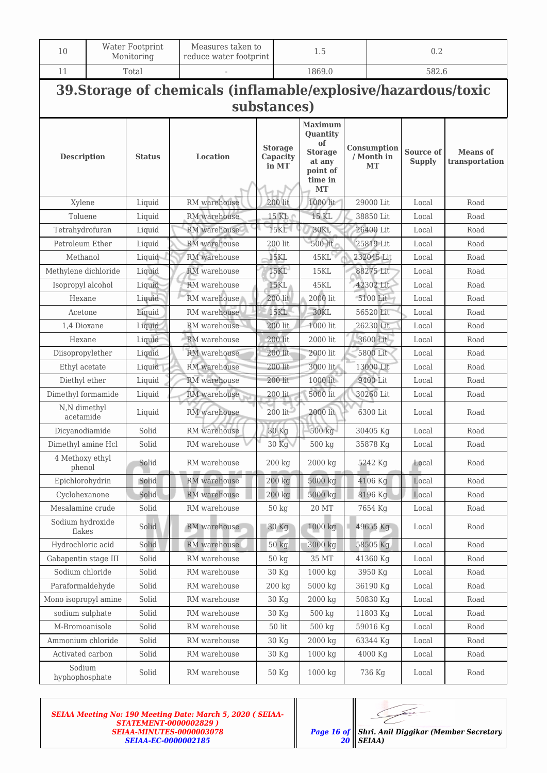| 10                         | Water Footprint<br>Monitoring                                                 |                                |              | Measures taken to<br>reduce water footprint |                 | 1.5                                                                                              |                                        | 0.2        |                                   |                                   |  |  |
|----------------------------|-------------------------------------------------------------------------------|--------------------------------|--------------|---------------------------------------------|-----------------|--------------------------------------------------------------------------------------------------|----------------------------------------|------------|-----------------------------------|-----------------------------------|--|--|
| 11                         |                                                                               | Total                          |              |                                             |                 | 1869.0                                                                                           |                                        |            |                                   | 582.6                             |  |  |
|                            | 39. Storage of chemicals (inflamable/explosive/hazardous/toxic<br>substances) |                                |              |                                             |                 |                                                                                                  |                                        |            |                                   |                                   |  |  |
| <b>Description</b>         |                                                                               | <b>Status</b>                  | Location     | <b>Storage</b><br>Capacity<br>in MT         |                 | Maximum<br><b>Quantity</b><br>of<br><b>Storage</b><br>at any<br>point of<br>time in<br><b>MT</b> | Consumption<br>/ Month in<br><b>MT</b> |            | <b>Source of</b><br><b>Supply</b> | <b>Means of</b><br>transportation |  |  |
| Xylene                     |                                                                               | Liquid                         | RM warehouse | $200$ lit                                   |                 | 1000 lit                                                                                         |                                        | 29000 Lit  | Local                             | Road                              |  |  |
| Toluene                    |                                                                               | Liquid                         | RM warehouse |                                             | 15 KL           | 15 KL                                                                                            |                                        | 38850 Lit  | Local                             | Road                              |  |  |
| Tetrahydrofuran            |                                                                               | Liquid                         | RM warehouse |                                             | <b>15KL</b>     | 30KL                                                                                             |                                        | 26400 Lit  | Local                             | Road                              |  |  |
| Petroleum Ether            |                                                                               | Liquid                         | RM warehouse |                                             | 200 lit         | 500 lit                                                                                          |                                        | 25819 Lit  | Local                             | Road                              |  |  |
| Methanol                   |                                                                               | Liquid                         | RM warehouse | <b>15KL</b>                                 |                 | 45KL                                                                                             |                                        | 232045 Lit | Local                             | Road                              |  |  |
| Methylene dichloride       |                                                                               | Liquid                         | RM warehouse |                                             | <b>15KL</b>     | <b>15KL</b>                                                                                      |                                        | 88275 Lit  | Local                             | Road                              |  |  |
| Isopropyl alcohol          |                                                                               | Liquid                         | RM warehouse | <b>15KL</b>                                 |                 | 45KL                                                                                             |                                        | 42302 Lit  | Local                             | Road                              |  |  |
| Hexane                     |                                                                               | Liquid                         | RM warehouse |                                             | 200 lit         | $2000$ lit                                                                                       | 5100 Lit                               |            | Local                             | Road                              |  |  |
| Acetone                    |                                                                               | Liquid                         | RM warehouse | <b>15KL</b>                                 |                 | 30KL                                                                                             | 56520 Lit                              |            | Local                             | Road                              |  |  |
| 1,4 Dioxane                |                                                                               | Liquid                         | RM warehouse | 200 lit                                     |                 | 1000 lit                                                                                         | 26230 Lit                              |            | Local                             | Road                              |  |  |
| Hexane                     |                                                                               | Liquid                         | RM warehouse | 200 lit                                     |                 | 2000 lit                                                                                         |                                        | 3600 Lit   | Local                             | Road                              |  |  |
| Diisopropylether           |                                                                               | Liquid                         | RM warehouse |                                             | 200 lit         | 2000 lit                                                                                         |                                        | 5800 Lit   | Local                             | Road                              |  |  |
| Ethyl acetate              |                                                                               | Liquid                         | RM warehouse |                                             | 200 lit         | 3000 lit                                                                                         |                                        | 13000 Lit  | Local                             | Road                              |  |  |
| Diethyl ether              |                                                                               | Liquid                         | RM warehouse |                                             | 200 lit         | 1000 lit                                                                                         |                                        | 9400 Lit   | Local                             | Road                              |  |  |
| Dimethyl formamide         |                                                                               | Liquid                         | RM warehouse |                                             | $200$ lit       | 5000 lit                                                                                         |                                        | 30260 Lit  | Local                             | Road                              |  |  |
| N,N dimethyl<br>acetamide  |                                                                               | Liquid                         | RM warehouse |                                             | $200$ lit       | $2000$ lit                                                                                       |                                        | 6300 Lit   | Local                             | Road                              |  |  |
| Dicyanodiamide             |                                                                               | Solid                          | RM warehouse | 30 Kg                                       |                 | $500 \text{ kg}$                                                                                 | 30405 Kg                               |            | Local                             | Road                              |  |  |
| Dimethyl amine Hcl         |                                                                               | Solid                          | RM warehouse |                                             | 30 Kg           | 500 kg                                                                                           |                                        | 35878 Kg   | Local                             | Road                              |  |  |
| 4 Methoxy ethyl<br>phenol  |                                                                               | Solid                          | RM warehouse | 200 kg                                      |                 | 2000 kg                                                                                          |                                        | 5242 Kg    | Local                             | Road                              |  |  |
| Epichlorohydrin            |                                                                               | Solid                          | RM warehouse |                                             | $200$ kg        | 5000 kg                                                                                          |                                        | 4106 Kg    | Local                             | Road                              |  |  |
| Cyclohexanone              |                                                                               | Solid                          | RM warehouse |                                             | $200$ kg        | 5000 kg                                                                                          |                                        | 8196 Kg    | Local                             | Road                              |  |  |
| Mesalamine crude           |                                                                               | Solid                          | RM warehouse |                                             | 50 kg           | 20 MT                                                                                            |                                        | 7654 Kg    | Local                             | Road                              |  |  |
| Sodium hydroxide<br>flakes |                                                                               | Solid                          | RM warehouse |                                             | 30 Kg           | 1000 kg                                                                                          |                                        | 49655 Kg   | Local                             | Road                              |  |  |
| Hydrochloric acid          |                                                                               | Solid                          | RM warehouse |                                             | $50$ kg         | 3000 kg                                                                                          |                                        | 58505 Kg   | Local                             | Road                              |  |  |
| Gabapentin stage III       |                                                                               | Solid                          | RM warehouse |                                             | $50$ kg         | 35 MT                                                                                            |                                        | 41360 Kg   | Local                             | Road                              |  |  |
| Sodium chloride            |                                                                               | Solid                          | RM warehouse |                                             | 30 Kg           | 1000 kg                                                                                          |                                        | 3950 Kg    | Local                             | Road                              |  |  |
| Paraformaldehyde           |                                                                               | Solid                          | RM warehouse | 200 kg                                      |                 | 5000 kg                                                                                          |                                        | 36190 Kg   | Local                             | Road                              |  |  |
| Mono isopropyl amine       |                                                                               | Solid<br>RM warehouse<br>30 Kg |              |                                             | 2000 kg         |                                                                                                  | 50830 Kg                               | Local      | Road                              |                                   |  |  |
| sodium sulphate            |                                                                               | Solid                          | RM warehouse |                                             | 30 Kg           | 500 kg                                                                                           |                                        | 11803 Kg   | Local                             | Road                              |  |  |
| M-Bromoanisole             |                                                                               | Solid                          | RM warehouse |                                             | $50\;{\rm lit}$ | 500 kg                                                                                           |                                        | 59016 Kg   | Local                             | Road                              |  |  |
| Ammonium chloride          |                                                                               | Solid                          | RM warehouse |                                             | 30 Kg           | 2000 kg                                                                                          |                                        | 63344 Kg   | Local                             | Road                              |  |  |
| Activated carbon           |                                                                               | Solid                          | RM warehouse |                                             | 30 Kg           | 1000 kg                                                                                          |                                        | 4000 Kg    | Local                             | Road                              |  |  |
| Sodium<br>hyphophosphate   |                                                                               | Solid                          | RM warehouse |                                             | 50 Kg           | 1000 kg                                                                                          |                                        | 736 Kg     | Local                             | Road                              |  |  |

*20*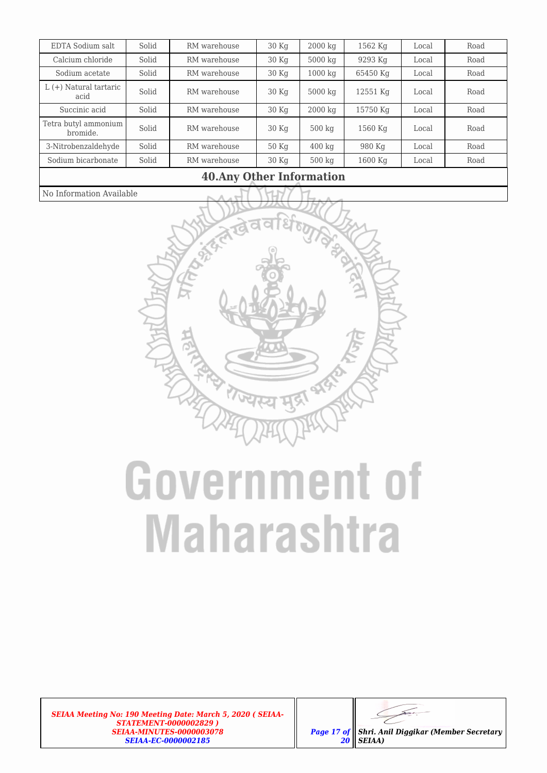| 10 Apy Other Information         |       |              |                 |                     |          |       |      |
|----------------------------------|-------|--------------|-----------------|---------------------|----------|-------|------|
| Sodium bicarbonate               | Solid | RM warehouse | 30 Kg           | $500 \text{ kg}$    | 1600 Kg  | Local | Road |
| 3-Nitrobenzaldehyde              | Solid | RM warehouse | $50$ Kg         | $400 \text{ kg}$    | 980 Kg   | Local | Road |
| Tetra butyl ammonium<br>bromide. | Solid | RM warehouse | 30 Kq           | $500 \text{ kg}$    | 1560 Kg  | Local | Road |
| Succinic acid                    | Solid | RM warehouse | 30 Kq           | $2000$ kg           | 15750 Kg | Local | Road |
| $L (+)$ Natural tartaric<br>acid | Solid | RM warehouse | 30 <sub>K</sub> | $5000$ kg           | 12551 Kg | Local | Road |
| Sodium acetate                   | Solid | RM warehouse | 30 Kg           | $1000\ \mathrm{kg}$ | 65450 Kg | Local | Road |
| Calcium chloride                 | Solid | RM warehouse | 30 Kq           | 5000 kg             | 9293 Kg  | Local | Road |
| EDTA Sodium salt                 | Solid | RM warehouse | 30 Kg           | $2000\ \mathrm{kg}$ | 1562 Kg  | Local | Road |

### No Information Available

### **40.Any Other Information**



### **Government of Maharashtra**

*SEIAA Meeting No: 190 Meeting Date: March 5, 2020 ( SEIAA-STATEMENT-0000002829 ) SEIAA-MINUTES-0000003078 SEIAA-EC-0000002185*



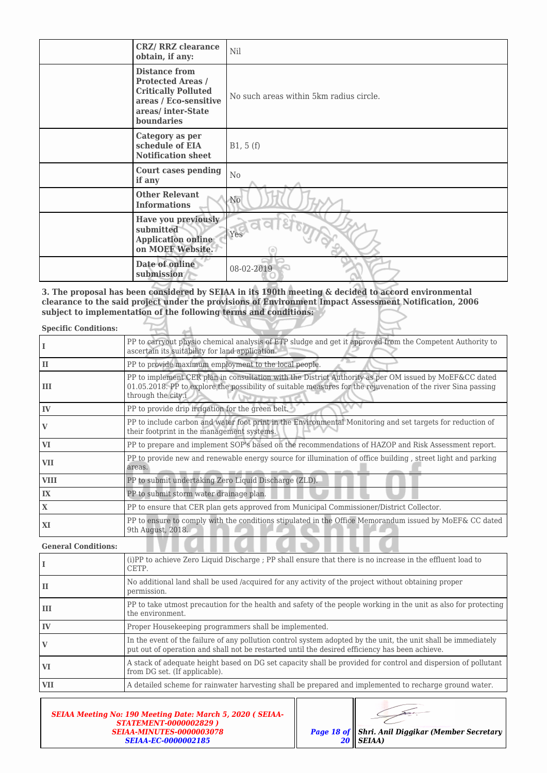| <b>CRZ/ RRZ clearance</b><br>obtain, if any:                                                                                               | Nil                                     |
|--------------------------------------------------------------------------------------------------------------------------------------------|-----------------------------------------|
| <b>Distance from</b><br><b>Protected Areas /</b><br><b>Critically Polluted</b><br>areas / Eco-sensitive<br>areas/inter-State<br>boundaries | No such areas within 5km radius circle. |
| Category as per<br>schedule of EIA<br><b>Notification sheet</b>                                                                            | B1, 5(f)                                |
| <b>Court cases pending</b><br>if any                                                                                                       | No                                      |
| <b>Other Relevant</b><br><b>Informations</b>                                                                                               | N <sub>0</sub>                          |
| Have you previously<br>submitted<br><b>Application online</b><br>on MOEF Website.                                                          | Yes                                     |
| Date of online<br>submission                                                                                                               | 08-02-2019                              |

**3. The proposal has been considered by SEIAA in its 190th meeting & decided to accord environmental clearance to the said project under the provisions of Environment Impact Assessment Notification, 2006 subject to implementation of the following terms and conditions:**

| <b>Specific Conditions:</b> |                                                                                                                                                                                                                                               |
|-----------------------------|-----------------------------------------------------------------------------------------------------------------------------------------------------------------------------------------------------------------------------------------------|
|                             | PP to carryout physio chemical analysis of ETP sludge and get it approved from the Competent Authority to<br>ascertain its suitability for land application.                                                                                  |
| lн                          | PP to provide maximum employment to the local people.                                                                                                                                                                                         |
| l III                       | PP to implement CER plan in consultation with the District Authority as per OM issued by MoEF&CC dated<br>01.05.2018. PP to explore the possibility of suitable measures for the rejuvenation of the river Sina passing<br>through the city.i |
| l IV                        | PP to provide drip irrigation for the green belt.                                                                                                                                                                                             |
| $\mathbf{V}$                | PP to include carbon and water foot print in the Environmental Monitoring and set targets for reduction of<br>their footprint in the management systems.                                                                                      |
| <b>VI</b>                   | PP to prepare and implement SOP's based on the recommendations of HAZOP and Risk Assessment report.                                                                                                                                           |
| VII                         | PP to provide new and renewable energy source for illumination of office building, street light and parking<br>areas.                                                                                                                         |
| <b>VIII</b>                 | PP to submit undertaking Zero Liquid Discharge (ZLD).                                                                                                                                                                                         |
| IX                          | PP to submit storm water drainage plan.                                                                                                                                                                                                       |
| X                           | PP to ensure that CER plan gets approved from Municipal Commissioner/District Collector.                                                                                                                                                      |
| XI                          | PP to ensure to comply with the conditions stipulated in the Office Memorandum issued by MoEF& CC dated<br>9th August, 2018.                                                                                                                  |

**General Conditions:**

|            | (i)PP to achieve Zero Liquid Discharge ; PP shall ensure that there is no increase in the effluent load to<br>CETP.                                                                                              |
|------------|------------------------------------------------------------------------------------------------------------------------------------------------------------------------------------------------------------------|
| П          | No additional land shall be used /acquired for any activity of the project without obtaining proper<br>permission.                                                                                               |
| Ш          | PP to take utmost precaution for the health and safety of the people working in the unit as also for protecting<br>the environment.                                                                              |
| IV         | Proper Housekeeping programmers shall be implemented.                                                                                                                                                            |
|            | In the event of the failure of any pollution control system adopted by the unit, the unit shall be immediately<br>put out of operation and shall not be restarted until the desired efficiency has been achieve. |
| VI         | A stack of adequate height based on DG set capacity shall be provided for control and dispersion of pollutant<br>from DG set. (If applicable).                                                                   |
| <b>VII</b> | A detailed scheme for rainwater harvesting shall be prepared and implemented to recharge ground water.                                                                                                           |

 $\blacksquare$ 

| <b>SEIAA Meeting No: 190 Meeting Date: March 5, 2020 (SEIAA-</b><br><b>STATEMENT-0000002829)</b> |                                                         |
|--------------------------------------------------------------------------------------------------|---------------------------------------------------------|
| <b>SEIAA-MINUTES-0000003078</b>                                                                  | <b>Page 18 of Shri. Anil Diggikar (Member Secretary</b> |
| <b>SEIAA-EC-0000002185</b>                                                                       | $20$    SEIAA)                                          |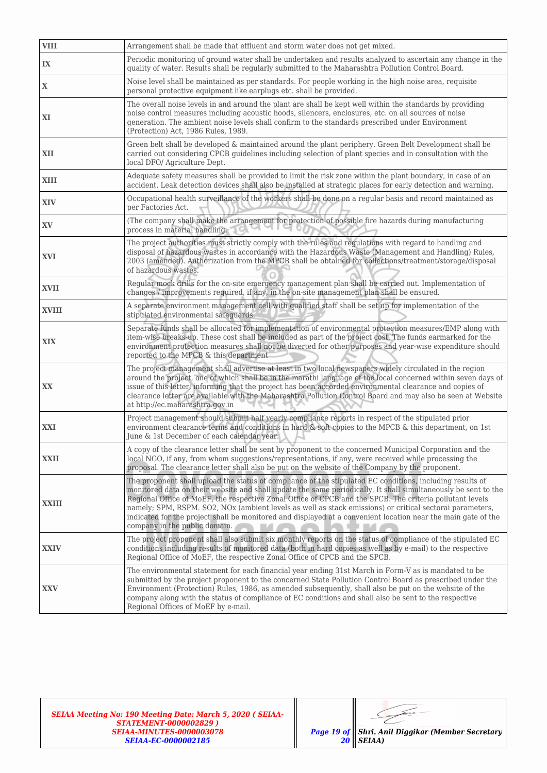| <b>VIII</b>  | Arrangement shall be made that effluent and storm water does not get mixed.                                                                                                                                                                                                                                                                                                                                                                                                                                                                                                                           |
|--------------|-------------------------------------------------------------------------------------------------------------------------------------------------------------------------------------------------------------------------------------------------------------------------------------------------------------------------------------------------------------------------------------------------------------------------------------------------------------------------------------------------------------------------------------------------------------------------------------------------------|
| IX           | Periodic monitoring of ground water shall be undertaken and results analyzed to ascertain any change in the<br>quality of water. Results shall be reqularly submitted to the Maharashtra Pollution Control Board.                                                                                                                                                                                                                                                                                                                                                                                     |
| $\mathbf X$  | Noise level shall be maintained as per standards. For people working in the high noise area, requisite<br>personal protective equipment like earplugs etc. shall be provided.                                                                                                                                                                                                                                                                                                                                                                                                                         |
| XI           | The overall noise levels in and around the plant are shall be kept well within the standards by providing<br>noise control measures including acoustic hoods, silencers, enclosures, etc. on all sources of noise<br>generation. The ambient noise levels shall confirm to the standards prescribed under Environment<br>(Protection) Act, 1986 Rules, 1989.                                                                                                                                                                                                                                          |
| XII          | Green belt shall be developed & maintained around the plant periphery. Green Belt Development shall be<br>carried out considering CPCB guidelines including selection of plant species and in consultation with the<br>local DFO/ Agriculture Dept.                                                                                                                                                                                                                                                                                                                                                   |
| XIII         | Adequate safety measures shall be provided to limit the risk zone within the plant boundary, in case of an<br>accident. Leak detection devices shall also be installed at strategic places for early detection and warning.                                                                                                                                                                                                                                                                                                                                                                           |
| <b>XIV</b>   | Occupational health surveillance of the workers shall be done on a regular basis and record maintained as<br>per Factories Act.                                                                                                                                                                                                                                                                                                                                                                                                                                                                       |
| XV           | (The company shall make the arrangement for protection of possible fire hazards during manufacturing<br>process in material handling.<br>$\sim$                                                                                                                                                                                                                                                                                                                                                                                                                                                       |
| <b>XVI</b>   | The project authorities must strictly comply with the rules and regulations with regard to handling and<br>disposal of hazardous wastes in accordance with the Hazardous Waste (Management and Handling) Rules,<br>2003 (amended). Authorization from the MPCB shall be obtained for collections/treatment/storage/disposal<br>of hazardous wastes.                                                                                                                                                                                                                                                   |
| <b>XVII</b>  | Regular mock drills for the on-site emergency management plan shall be carried out. Implementation of<br>changes / improvements required, if any, in the on-site management plan shall be ensured.                                                                                                                                                                                                                                                                                                                                                                                                    |
| <b>XVIII</b> | A separate environment management cell with qualified staff shall be set up for implementation of the<br>stipulated environmental safeguards.                                                                                                                                                                                                                                                                                                                                                                                                                                                         |
| XIX          | Separate funds shall be allocated for implementation of environmental protection measures/EMP along with<br>item-wise breaks-up. These cost shall be included as part of the project cost. The funds earmarked for the<br>environment protection measures shall not be diverted for other purposes and year-wise expenditure should<br>reported to the MPCB & this department                                                                                                                                                                                                                         |
| XX           | The project management shall advertise at least in two local newspapers widely circulated in the region<br>around the project, one of which shall be in the marathi language of the local concerned within seven days of<br>issue of this letter, informing that the project has been accorded environmental clearance and copies of<br>clearance letter are available with the Maharashtra Pollution Control Board and may also be seen at Website<br>at http://ec.maharashtra.gov.in                                                                                                                |
| XXI          | Project management should submit half yearly compliance reports in respect of the stipulated prior<br>environment clearance terms and conditions in hard & soft copies to the MPCB & this department, on 1st<br>June & 1st December of each calendar year.                                                                                                                                                                                                                                                                                                                                            |
| <b>XXII</b>  | A copy of the clearance letter shall be sent by proponent to the concerned Municipal Corporation and the<br>local NGO, if any, from whom suggestions/representations, if any, were received while processing the<br>proposal. The clearance letter shall also be put on the website of the Company by the proponent.                                                                                                                                                                                                                                                                                  |
| XXIII        | The proponent shall upload the status of compliance of the stipulated EC conditions, including results of<br>monitored data on their website and shall update the same periodically. It shall simultaneously be sent to the<br>Regional Office of MoEF, the respective Zonal Office of CPCB and the SPCB. The criteria pollutant levels<br>namely; SPM, RSPM. SO2, NOx (ambient levels as well as stack emissions) or critical sectorai parameters,<br>indicated for the project shall be monitored and displayed at a convenient location near the main gate of the<br>company in the public domain. |
| <b>XXIV</b>  | The project proponent shall also submit six monthly reports on the status of compliance of the stipulated EC<br>conditions including results of monitored data (both in hard copies as well as by e-mail) to the respective<br>Regional Office of MoEF, the respective Zonal Office of CPCB and the SPCB.                                                                                                                                                                                                                                                                                             |
| XXV          | The environmental statement for each financial year ending 31st March in Form-V as is mandated to be<br>submitted by the project proponent to the concerned State Pollution Control Board as prescribed under the<br>Environment (Protection) Rules, 1986, as amended subsequently, shall also be put on the website of the<br>company along with the status of compliance of EC conditions and shall also be sent to the respective<br>Regional Offices of MoEF by e-mail.                                                                                                                           |